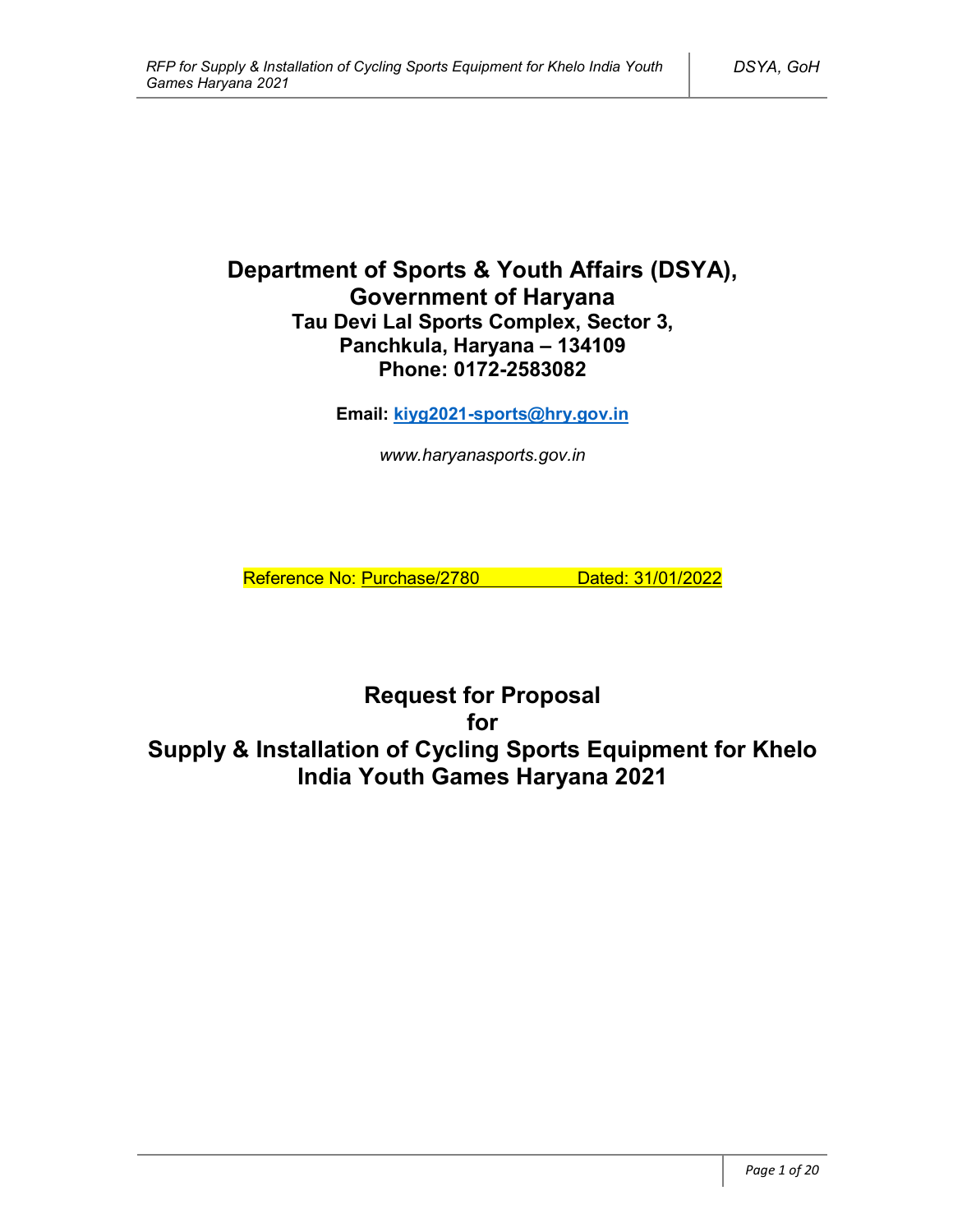# **Department of Sports & Youth Affairs (DSYA), Government of Haryana Tau Devi Lal Sports Complex, Sector 3, Panchkula, Haryana – 134109 Phone: 0172-2583082**

**Email: kiyg2021-sports@hry.gov.in**

*www.haryanasports.gov.in*

Reference No: Purchase/2780 Dated: 31/01/2022

**Request for Proposal for Supply & Installation of Cycling Sports Equipment for Khelo India Youth Games Haryana 2021**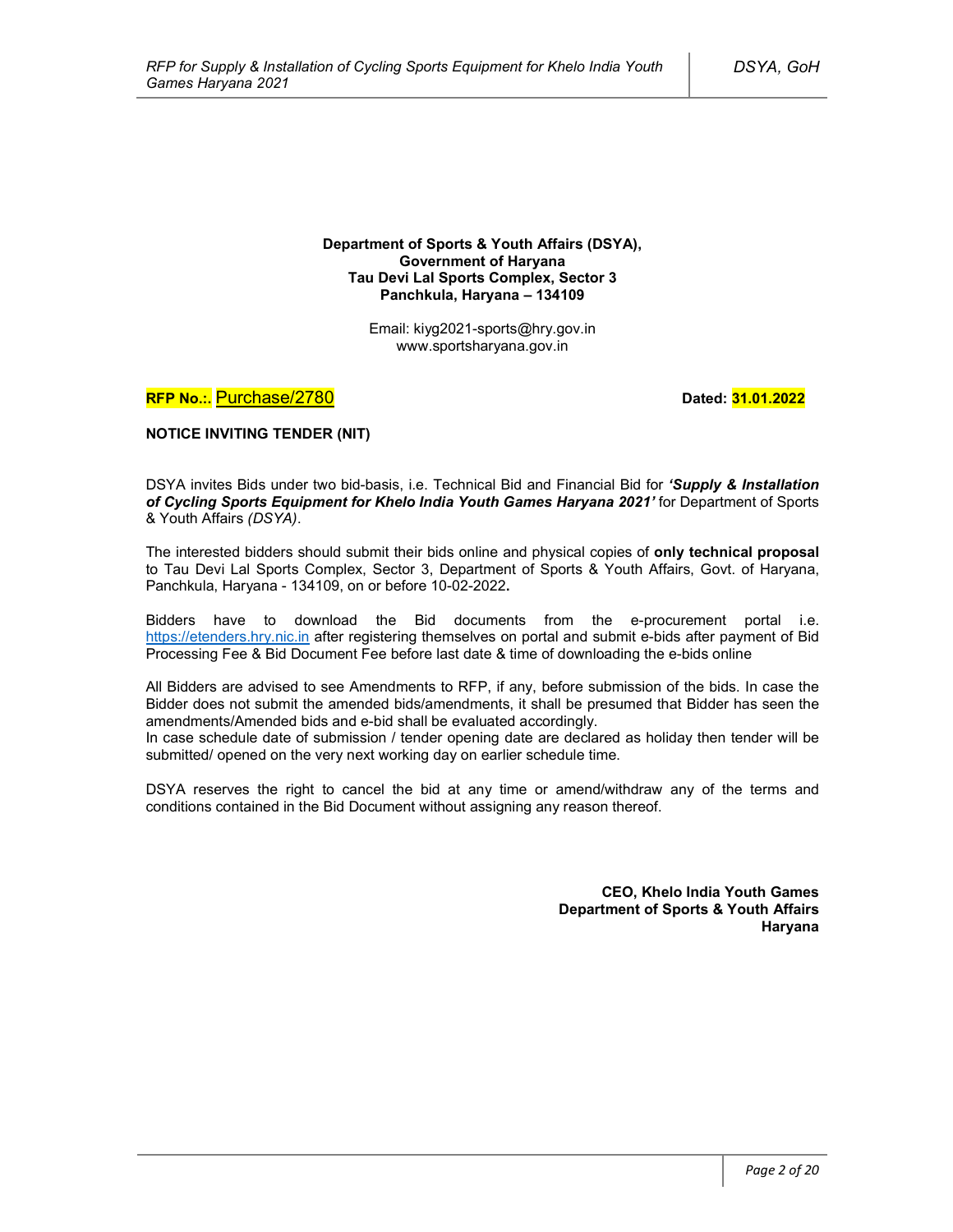**Department of Sports & Youth Affairs (DSYA), Government of Haryana Tau Devi Lal Sports Complex, Sector 3 Panchkula, Haryana – 134109**

> Email: kiyg2021-sports@hry.gov.in www.sportsharyana.gov.in

**RFP No.:.** Purchase/2780 **Dated: 31.01.2022** 

**NOTICE INVITING TENDER (NIT)**

DSYA invites Bids under two bid-basis, i.e. Technical Bid and Financial Bid for *'Supply & Installation of Cycling Sports Equipment for Khelo India Youth Games Haryana 2021'* for Department of Sports & Youth Affairs *(DSYA)*.

The interested bidders should submit their bids online and physical copies of **only technical proposal** to Tau Devi Lal Sports Complex, Sector 3, Department of Sports & Youth Affairs, Govt. of Haryana, Panchkula, Haryana - 134109, on or before 10-02-2022**.**

Bidders have to download the Bid documents from the e-procurement portal i.e. https://etenders.hry.nic.in after registering themselves on portal and submit e-bids after payment of Bid Processing Fee & Bid Document Fee before last date & time of downloading the e-bids online

All Bidders are advised to see Amendments to RFP, if any, before submission of the bids. In case the Bidder does not submit the amended bids/amendments, it shall be presumed that Bidder has seen the amendments/Amended bids and e-bid shall be evaluated accordingly.

In case schedule date of submission / tender opening date are declared as holiday then tender will be submitted/ opened on the very next working day on earlier schedule time.

DSYA reserves the right to cancel the bid at any time or amend/withdraw any of the terms and conditions contained in the Bid Document without assigning any reason thereof.

> **CEO, Khelo India Youth Games Department of Sports & Youth Affairs Haryana**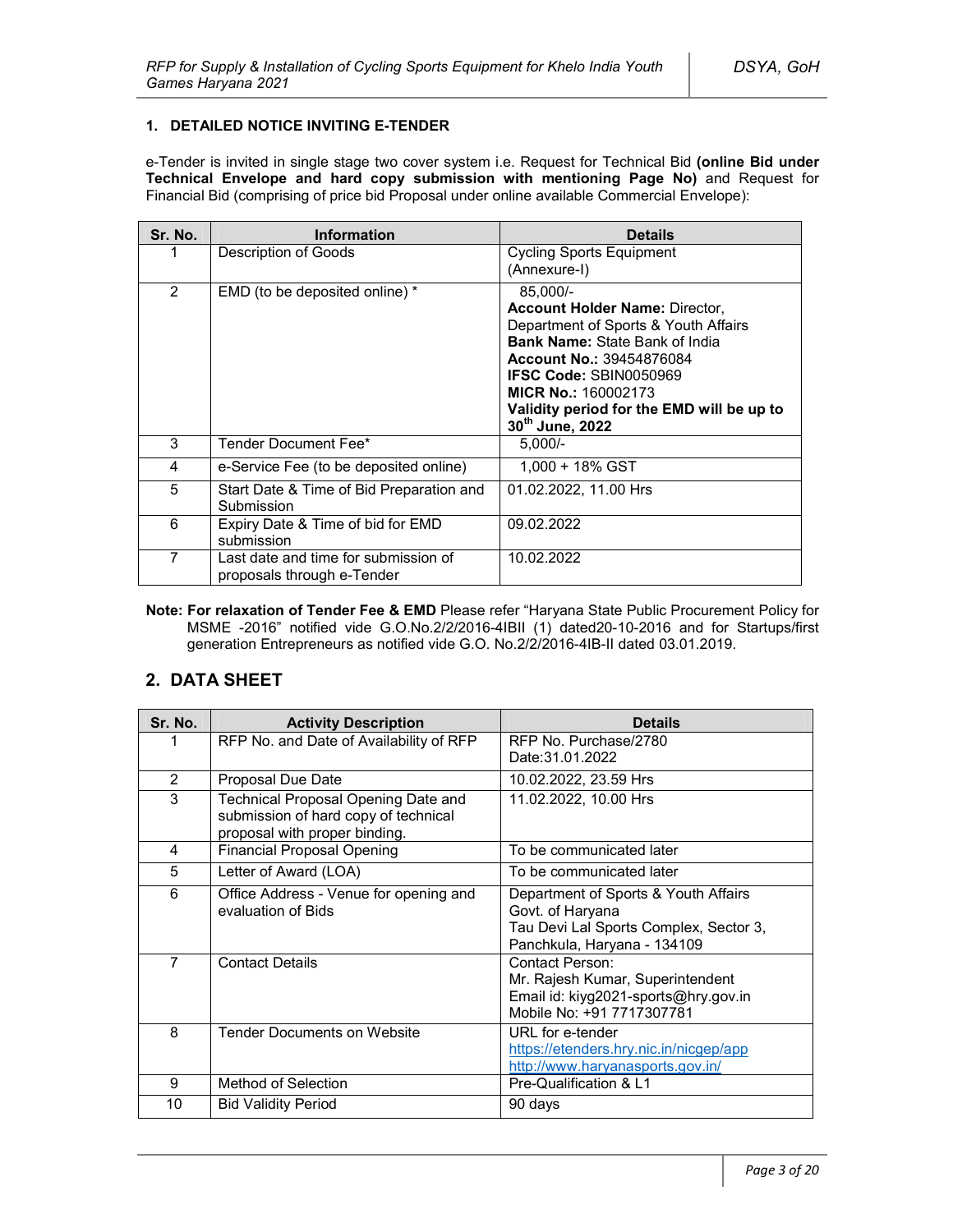### **1. DETAILED NOTICE INVITING E-TENDER**

e-Tender is invited in single stage two cover system i.e. Request for Technical Bid **(online Bid under Technical Envelope and hard copy submission with mentioning Page No)** and Request for Financial Bid (comprising of price bid Proposal under online available Commercial Envelope):

| Sr. No.        | <b>Information</b>                                                 | <b>Details</b>                                                                                                                                                                                                                                                                                       |
|----------------|--------------------------------------------------------------------|------------------------------------------------------------------------------------------------------------------------------------------------------------------------------------------------------------------------------------------------------------------------------------------------------|
|                | Description of Goods                                               | <b>Cycling Sports Equipment</b><br>(Annexure-I)                                                                                                                                                                                                                                                      |
| $\overline{2}$ | EMD (to be deposited online) *                                     | 85.000/-<br><b>Account Holder Name: Director,</b><br>Department of Sports & Youth Affairs<br><b>Bank Name: State Bank of India</b><br><b>Account No.: 39454876084</b><br><b>IFSC Code: SBIN0050969</b><br><b>MICR No.: 160002173</b><br>Validity period for the EMD will be up to<br>30th June, 2022 |
| 3              | Tender Document Fee*                                               | $5.000/-$                                                                                                                                                                                                                                                                                            |
| 4              | e-Service Fee (to be deposited online)                             | 1.000 + 18% GST                                                                                                                                                                                                                                                                                      |
| 5              | Start Date & Time of Bid Preparation and<br>Submission             | 01.02.2022, 11.00 Hrs                                                                                                                                                                                                                                                                                |
| 6              | Expiry Date & Time of bid for EMD<br>submission                    | 09.02.2022                                                                                                                                                                                                                                                                                           |
| 7              | Last date and time for submission of<br>proposals through e-Tender | 10.02.2022                                                                                                                                                                                                                                                                                           |

**Note: For relaxation of Tender Fee & EMD** Please refer "Haryana State Public Procurement Policy for MSME -2016" notified vide G.O.No.2/2/2016-4IBII (1) dated20-10-2016 and for Startups/first generation Entrepreneurs as notified vide G.O. No.2/2/2016-4IB-II dated 03.01.2019.

# **2. DATA SHEET**

| Sr. No.        | <b>Activity Description</b>                                                                                  | <b>Details</b>                                                                                                                    |  |
|----------------|--------------------------------------------------------------------------------------------------------------|-----------------------------------------------------------------------------------------------------------------------------------|--|
|                | RFP No. and Date of Availability of RFP                                                                      | RFP No. Purchase/2780<br>Date: 31.01.2022                                                                                         |  |
| 2              | <b>Proposal Due Date</b>                                                                                     | 10.02.2022, 23.59 Hrs                                                                                                             |  |
| 3              | Technical Proposal Opening Date and<br>submission of hard copy of technical<br>proposal with proper binding. | 11.02.2022, 10.00 Hrs                                                                                                             |  |
| 4              | <b>Financial Proposal Opening</b>                                                                            | To be communicated later                                                                                                          |  |
| 5              | Letter of Award (LOA)                                                                                        | To be communicated later                                                                                                          |  |
| 6              | Office Address - Venue for opening and<br>evaluation of Bids                                                 | Department of Sports & Youth Affairs<br>Govt. of Haryana<br>Tau Devi Lal Sports Complex, Sector 3,<br>Panchkula, Haryana - 134109 |  |
| $\overline{7}$ | <b>Contact Details</b>                                                                                       | Contact Person:<br>Mr. Rajesh Kumar, Superintendent<br>Email id: kiyg2021-sports@hry.gov.in<br>Mobile No: +91 7717307781          |  |
| 8              | <b>Tender Documents on Website</b>                                                                           | URL for e-tender<br>https://etenders.hry.nic.in/nicgep/app<br>http://www.haryanasports.gov.in/                                    |  |
| 9              | Method of Selection                                                                                          | Pre-Qualification & L1                                                                                                            |  |
| 10             | <b>Bid Validity Period</b>                                                                                   | 90 days                                                                                                                           |  |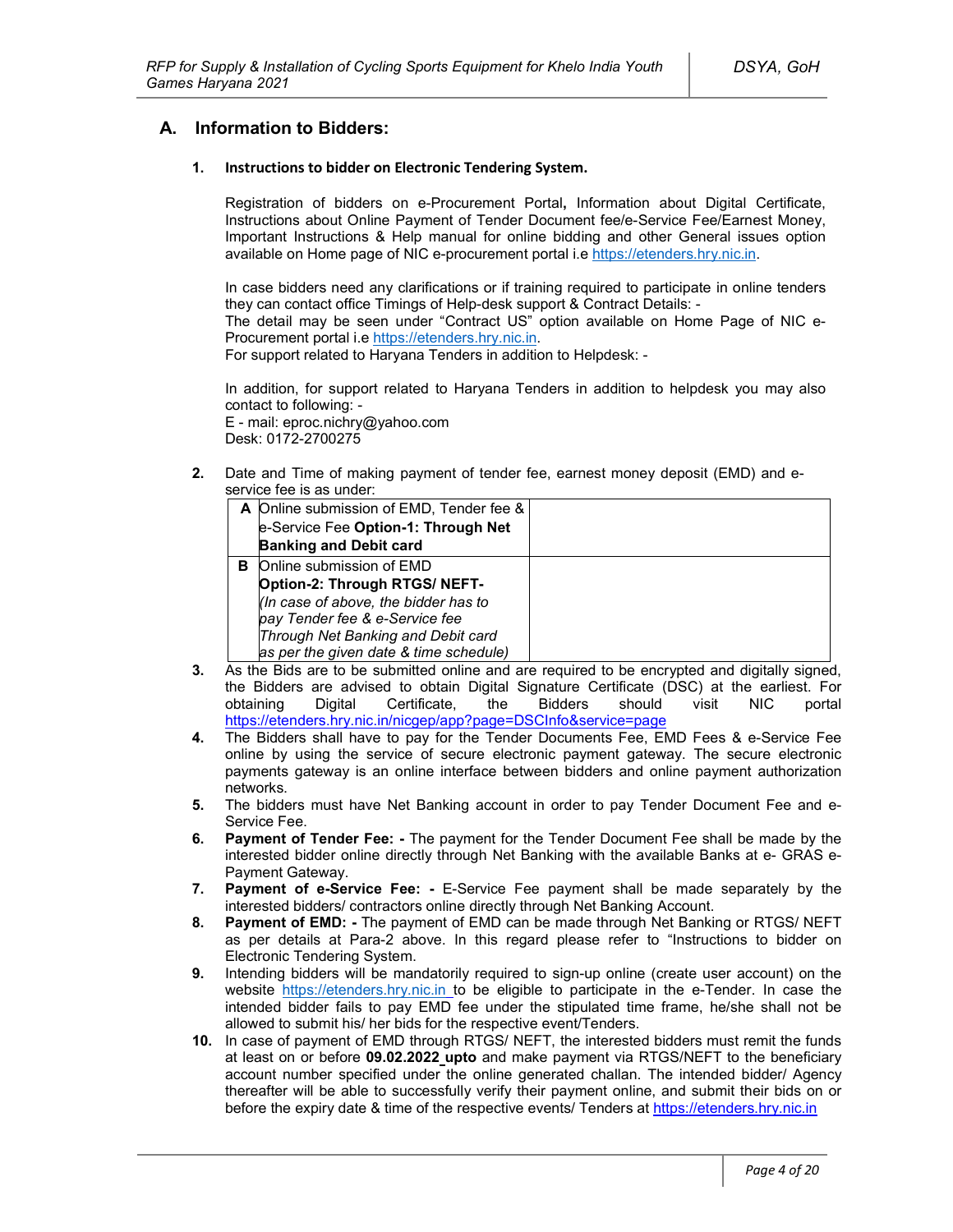# **A. Information to Bidders:**

### **1. Instructions to bidder on Electronic Tendering System.**

Registration of bidders on e-Procurement Portal**,** Information about Digital Certificate, Instructions about Online Payment of Tender Document fee/e-Service Fee/Earnest Money, Important Instructions & Help manual for online bidding and other General issues option available on Home page of NIC e-procurement portal i.e https://etenders.hry.nic.in.

In case bidders need any clarifications or if training required to participate in online tenders they can contact office Timings of Help-desk support & Contract Details: -

The detail may be seen under "Contract US" option available on Home Page of NIC e-Procurement portal i.e https://etenders.hry.nic.in.

For support related to Haryana Tenders in addition to Helpdesk: -

In addition, for support related to Haryana Tenders in addition to helpdesk you may also contact to following: -

E - mail: eproc.nichry@yahoo.com Desk: 0172-2700275

**2.** Date and Time of making payment of tender fee, earnest money deposit (EMD) and eservice fee is as under:

|   | A Online submission of EMD, Tender fee & |  |
|---|------------------------------------------|--|
|   | e-Service Fee Option-1: Through Net      |  |
|   | <b>Banking and Debit card</b>            |  |
| в | Online submission of EMD                 |  |
|   | Option-2: Through RTGS/ NEFT-            |  |
|   | (In case of above, the bidder has to     |  |
|   | pay Tender fee & e-Service fee           |  |
|   | Through Net Banking and Debit card       |  |
|   | as per the given date & time schedule)   |  |

- **3.** As the Bids are to be submitted online and are required to be encrypted and digitally signed, the Bidders are advised to obtain Digital Signature Certificate (DSC) at the earliest. For obtaining Digital Certificate, the Bidders should visit NIC portal https://etenders.hry.nic.in/nicgep/app?page=DSCInfo&service=page
- **4.** The Bidders shall have to pay for the Tender Documents Fee, EMD Fees & e-Service Fee online by using the service of secure electronic payment gateway. The secure electronic payments gateway is an online interface between bidders and online payment authorization networks.
- **5.** The bidders must have Net Banking account in order to pay Tender Document Fee and e-Service Fee.
- **6. Payment of Tender Fee: -** The payment for the Tender Document Fee shall be made by the interested bidder online directly through Net Banking with the available Banks at e- GRAS e-Payment Gateway.
- **7. Payment of e-Service Fee: -** E-Service Fee payment shall be made separately by the interested bidders/ contractors online directly through Net Banking Account.
- **8. Payment of EMD: -** The payment of EMD can be made through Net Banking or RTGS/ NEFT as per details at Para-2 above. In this regard please refer to "Instructions to bidder on Electronic Tendering System.
- **9.** Intending bidders will be mandatorily required to sign-up online (create user account) on the website https://etenders.hry.nic.in to be eligible to participate in the e-Tender. In case the intended bidder fails to pay EMD fee under the stipulated time frame, he/she shall not be allowed to submit his/ her bids for the respective event/Tenders.
- **10.** In case of payment of EMD through RTGS/ NEFT, the interested bidders must remit the funds at least on or before **09.02.2022 upto** and make payment via RTGS/NEFT to the beneficiary account number specified under the online generated challan. The intended bidder/ Agency thereafter will be able to successfully verify their payment online, and submit their bids on or before the expiry date & time of the respective events/ Tenders at https://etenders.hry.nic.in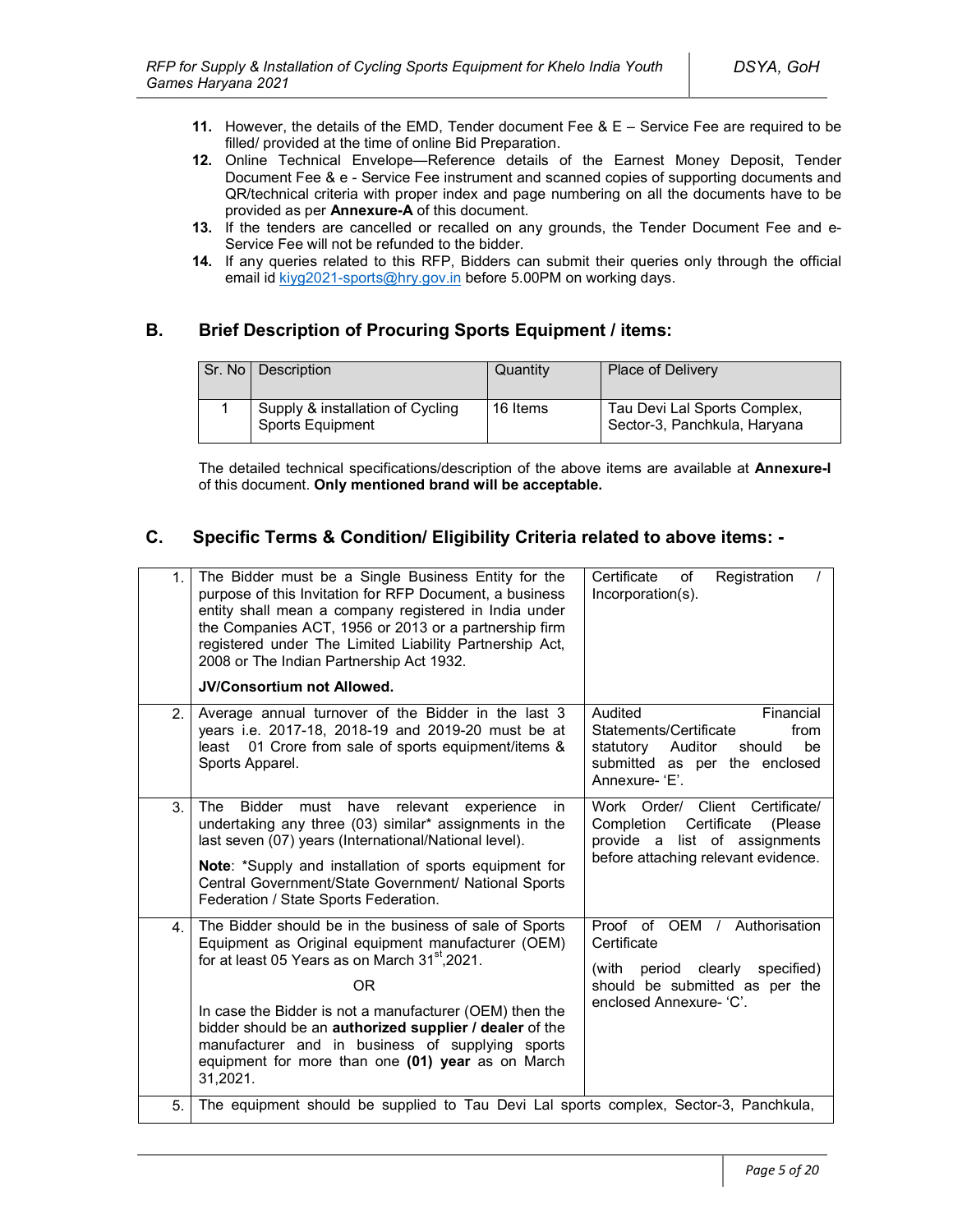- **11.** However, the details of the EMD, Tender document Fee & E Service Fee are required to be filled/ provided at the time of online Bid Preparation.
- **12.** Online Technical Envelope—Reference details of the Earnest Money Deposit, Tender Document Fee & e - Service Fee instrument and scanned copies of supporting documents and QR/technical criteria with proper index and page numbering on all the documents have to be provided as per **Annexure-A** of this document.
- **13.** If the tenders are cancelled or recalled on any grounds, the Tender Document Fee and e-Service Fee will not be refunded to the bidder.
- **14.** If any queries related to this RFP, Bidders can submit their queries only through the official email id kiyg2021-sports@hry.gov.in before 5.00PM on working days.

# **B. Brief Description of Procuring Sports Equipment / items:**

| Sr. No | Description                                          | Quantity | <b>Place of Delivery</b>                                     |
|--------|------------------------------------------------------|----------|--------------------------------------------------------------|
|        | Supply & installation of Cycling<br>Sports Equipment | 16 Items | Tau Devi Lal Sports Complex,<br>Sector-3, Panchkula, Haryana |

The detailed technical specifications/description of the above items are available at **Annexure-I** of this document. **Only mentioned brand will be acceptable.**

# **C. Specific Terms & Condition/ Eligibility Criteria related to above items: -**

| 1. | The Bidder must be a Single Business Entity for the<br>purpose of this Invitation for RFP Document, a business<br>entity shall mean a company registered in India under<br>the Companies ACT, 1956 or 2013 or a partnership firm<br>registered under The Limited Liability Partnership Act,<br>2008 or The Indian Partnership Act 1932.<br><b>JV/Consortium not Allowed.</b>                                                            | Certificate<br>Registration<br>of<br>Incorporation(s).                                                                                            |
|----|-----------------------------------------------------------------------------------------------------------------------------------------------------------------------------------------------------------------------------------------------------------------------------------------------------------------------------------------------------------------------------------------------------------------------------------------|---------------------------------------------------------------------------------------------------------------------------------------------------|
| 2. | Average annual turnover of the Bidder in the last 3<br>years i.e. 2017-18, 2018-19 and 2019-20 must be at<br>01 Crore from sale of sports equipment/items &<br>least<br>Sports Apparel.                                                                                                                                                                                                                                                 | Audited<br>Financial<br>Statements/Certificate<br>from<br>statutory<br>Auditor<br>be<br>should<br>submitted as per the enclosed<br>Annexure-'E'.  |
| 3. | The<br><b>Bidder</b><br>must<br>have<br>relevant<br>experience<br>in.<br>undertaking any three (03) similar* assignments in the<br>last seven (07) years (International/National level).<br>Note: *Supply and installation of sports equipment for<br>Central Government/State Government/ National Sports<br>Federation / State Sports Federation.                                                                                     | Work Order/ Client Certificate/<br>Certificate<br>Completion<br>(Please)<br>provide a list of assignments<br>before attaching relevant evidence.  |
| 4. | The Bidder should be in the business of sale of Sports<br>Equipment as Original equipment manufacturer (OEM)<br>for at least 05 Years as on March 31 <sup>st</sup> , 2021.<br>0 <sub>R</sub><br>In case the Bidder is not a manufacturer (OEM) then the<br>bidder should be an authorized supplier / dealer of the<br>manufacturer and in business of supplying sports<br>equipment for more than one (01) year as on March<br>31,2021. | Proof of OEM /<br>Authorisation<br>Certificate<br>(with period clearly<br>specified)<br>should be submitted as per the<br>enclosed Annexure- 'C'. |
| 5. | The equipment should be supplied to Tau Devi Lal sports complex, Sector-3, Panchkula,                                                                                                                                                                                                                                                                                                                                                   |                                                                                                                                                   |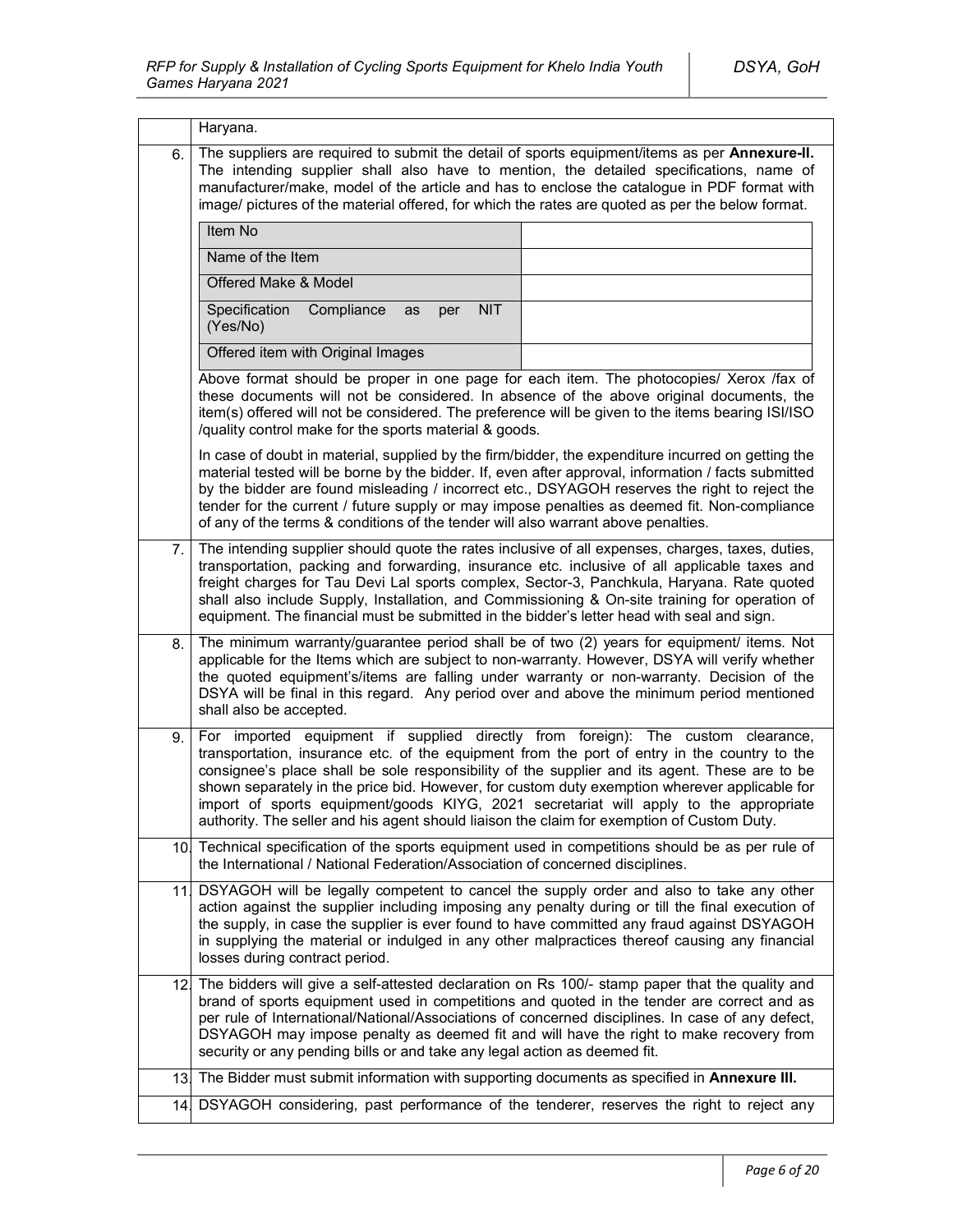|                 | Haryana.                                                                                                                                                                                                                                                                                                                                                                                                                                                                                        |                                                                              |
|-----------------|-------------------------------------------------------------------------------------------------------------------------------------------------------------------------------------------------------------------------------------------------------------------------------------------------------------------------------------------------------------------------------------------------------------------------------------------------------------------------------------------------|------------------------------------------------------------------------------|
| 6.              | The suppliers are required to submit the detail of sports equipment/items as per Annexure-II.<br>The intending supplier shall also have to mention, the detailed specifications, name of<br>manufacturer/make, model of the article and has to enclose the catalogue in PDF format with<br>image/ pictures of the material offered, for which the rates are quoted as per the below format.                                                                                                     |                                                                              |
|                 | Item No                                                                                                                                                                                                                                                                                                                                                                                                                                                                                         |                                                                              |
|                 | Name of the Item                                                                                                                                                                                                                                                                                                                                                                                                                                                                                |                                                                              |
|                 | Offered Make & Model                                                                                                                                                                                                                                                                                                                                                                                                                                                                            |                                                                              |
|                 | Specification<br><b>NIT</b><br>Compliance<br>as<br>per<br>(Yes/No)                                                                                                                                                                                                                                                                                                                                                                                                                              |                                                                              |
|                 | Offered item with Original Images                                                                                                                                                                                                                                                                                                                                                                                                                                                               |                                                                              |
|                 | Above format should be proper in one page for each item. The photocopies/ Xerox /fax of<br>these documents will not be considered. In absence of the above original documents, the<br>item(s) offered will not be considered. The preference will be given to the items bearing ISI/ISO<br>/quality control make for the sports material & goods.                                                                                                                                               |                                                                              |
|                 | In case of doubt in material, supplied by the firm/bidder, the expenditure incurred on getting the<br>material tested will be borne by the bidder. If, even after approval, information / facts submitted<br>by the bidder are found misleading / incorrect etc., DSYAGOH reserves the right to reject the<br>tender for the current / future supply or may impose penalties as deemed fit. Non-compliance<br>of any of the terms & conditions of the tender will also warrant above penalties. |                                                                              |
| 7.              | The intending supplier should quote the rates inclusive of all expenses, charges, taxes, duties,<br>transportation, packing and forwarding, insurance etc. inclusive of all applicable taxes and<br>freight charges for Tau Devi Lal sports complex, Sector-3, Panchkula, Haryana. Rate quoted<br>shall also include Supply, Installation, and Commissioning & On-site training for operation of<br>equipment. The financial must be submitted in the bidder's letter head with seal and sign.  |                                                                              |
| 8.              | The minimum warranty/guarantee period shall be of two (2) years for equipment/ items. Not<br>applicable for the Items which are subject to non-warranty. However, DSYA will verify whether<br>the quoted equipment's/items are falling under warranty or non-warranty. Decision of the<br>DSYA will be final in this regard. Any period over and above the minimum period mentioned<br>shall also be accepted.                                                                                  |                                                                              |
| 9.              | For<br>transportation, insurance etc. of the equipment from the port of entry in the country to the<br>consignee's place shall be sole responsibility of the supplier and its agent. These are to be<br>shown separately in the price bid. However, for custom duty exemption wherever applicable for<br>import of sports equipment/goods KIYG, 2021 secretariat will apply to the appropriate<br>authority. The seller and his agent should liaison the claim for exemption of Custom Duty.    | imported equipment if supplied directly from foreign): The custom clearance, |
| 10.             | Technical specification of the sports equipment used in competitions should be as per rule of<br>the International / National Federation/Association of concerned disciplines.                                                                                                                                                                                                                                                                                                                  |                                                                              |
| 11              | DSYAGOH will be legally competent to cancel the supply order and also to take any other<br>action against the supplier including imposing any penalty during or till the final execution of<br>the supply, in case the supplier is ever found to have committed any fraud against DSYAGOH<br>in supplying the material or indulged in any other malpractices thereof causing any financial<br>losses during contract period.                                                                    |                                                                              |
| 12.             | The bidders will give a self-attested declaration on Rs 100/- stamp paper that the quality and<br>brand of sports equipment used in competitions and quoted in the tender are correct and as<br>per rule of International/National/Associations of concerned disciplines. In case of any defect,<br>DSYAGOH may impose penalty as deemed fit and will have the right to make recovery from<br>security or any pending bills or and take any legal action as deemed fit.                         |                                                                              |
| 13 <sub>1</sub> | The Bidder must submit information with supporting documents as specified in Annexure III.                                                                                                                                                                                                                                                                                                                                                                                                      |                                                                              |
|                 | 14. DSYAGOH considering, past performance of the tenderer, reserves the right to reject any                                                                                                                                                                                                                                                                                                                                                                                                     |                                                                              |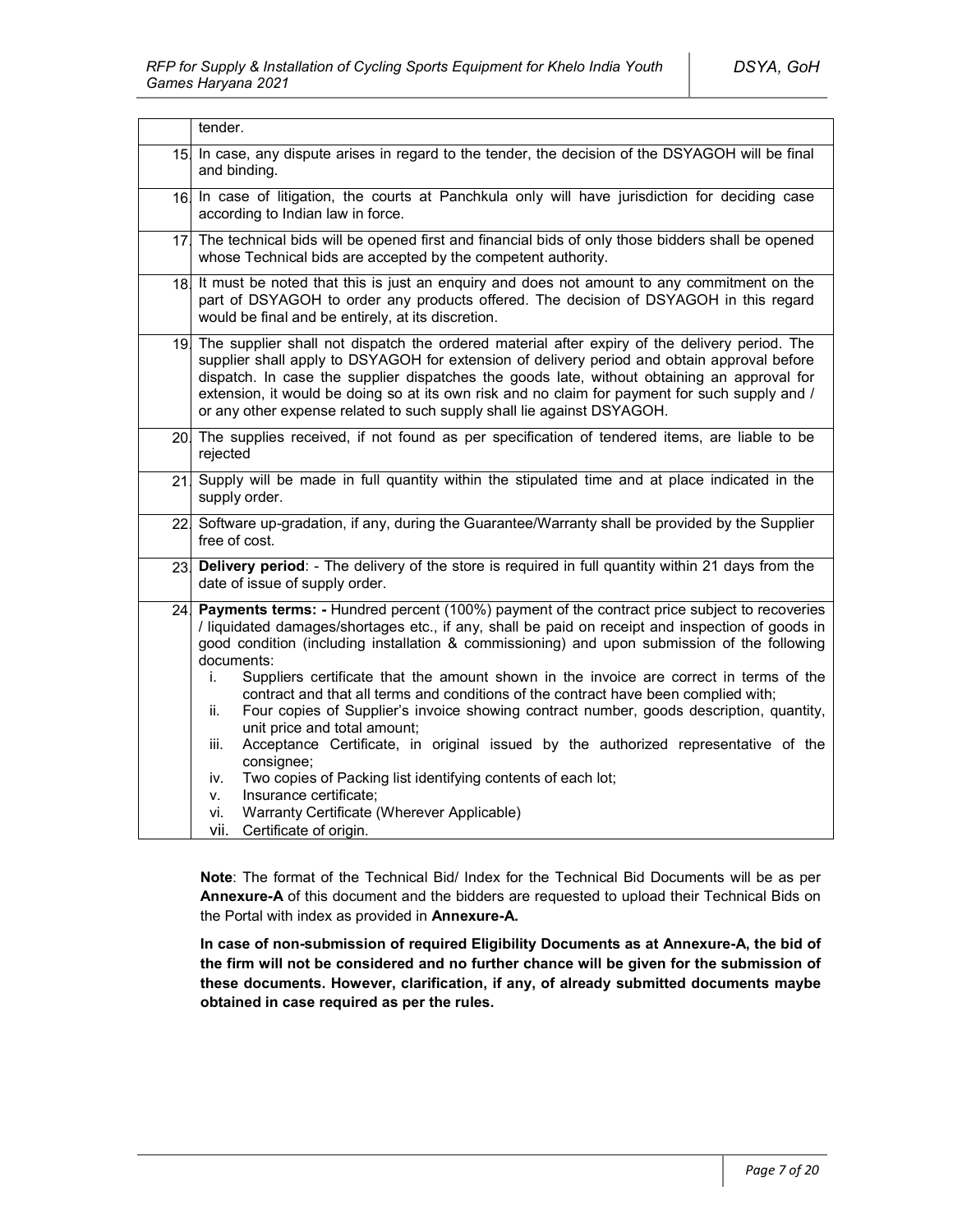|                 | tender.                                                                                                                                                                                                                                                                                                                                                                                                                                                                                                                                                                                                                                                                                                                                                                                                                                                                                                                                           |  |
|-----------------|---------------------------------------------------------------------------------------------------------------------------------------------------------------------------------------------------------------------------------------------------------------------------------------------------------------------------------------------------------------------------------------------------------------------------------------------------------------------------------------------------------------------------------------------------------------------------------------------------------------------------------------------------------------------------------------------------------------------------------------------------------------------------------------------------------------------------------------------------------------------------------------------------------------------------------------------------|--|
| 15.             | In case, any dispute arises in regard to the tender, the decision of the DSYAGOH will be final<br>and binding.                                                                                                                                                                                                                                                                                                                                                                                                                                                                                                                                                                                                                                                                                                                                                                                                                                    |  |
| 16 <sub>l</sub> | In case of litigation, the courts at Panchkula only will have jurisdiction for deciding case<br>according to Indian law in force.                                                                                                                                                                                                                                                                                                                                                                                                                                                                                                                                                                                                                                                                                                                                                                                                                 |  |
| 17 <sub>1</sub> | The technical bids will be opened first and financial bids of only those bidders shall be opened<br>whose Technical bids are accepted by the competent authority.                                                                                                                                                                                                                                                                                                                                                                                                                                                                                                                                                                                                                                                                                                                                                                                 |  |
| 18.             | It must be noted that this is just an enquiry and does not amount to any commitment on the<br>part of DSYAGOH to order any products offered. The decision of DSYAGOH in this regard<br>would be final and be entirely, at its discretion.                                                                                                                                                                                                                                                                                                                                                                                                                                                                                                                                                                                                                                                                                                         |  |
| 19.             | The supplier shall not dispatch the ordered material after expiry of the delivery period. The<br>supplier shall apply to DSYAGOH for extension of delivery period and obtain approval before<br>dispatch. In case the supplier dispatches the goods late, without obtaining an approval for<br>extension, it would be doing so at its own risk and no claim for payment for such supply and /<br>or any other expense related to such supply shall lie against DSYAGOH.                                                                                                                                                                                                                                                                                                                                                                                                                                                                           |  |
|                 | 20. The supplies received, if not found as per specification of tendered items, are liable to be<br>rejected                                                                                                                                                                                                                                                                                                                                                                                                                                                                                                                                                                                                                                                                                                                                                                                                                                      |  |
| 21              | Supply will be made in full quantity within the stipulated time and at place indicated in the<br>supply order.                                                                                                                                                                                                                                                                                                                                                                                                                                                                                                                                                                                                                                                                                                                                                                                                                                    |  |
|                 | 22 Software up-gradation, if any, during the Guarantee/Warranty shall be provided by the Supplier<br>free of cost.                                                                                                                                                                                                                                                                                                                                                                                                                                                                                                                                                                                                                                                                                                                                                                                                                                |  |
| 23.             | Delivery period: - The delivery of the store is required in full quantity within 21 days from the<br>date of issue of supply order.                                                                                                                                                                                                                                                                                                                                                                                                                                                                                                                                                                                                                                                                                                                                                                                                               |  |
| 24 <sub>1</sub> | Payments terms: - Hundred percent (100%) payment of the contract price subject to recoveries<br>/ liquidated damages/shortages etc., if any, shall be paid on receipt and inspection of goods in<br>good condition (including installation & commissioning) and upon submission of the following<br>documents:<br>Suppliers certificate that the amount shown in the invoice are correct in terms of the<br>i.<br>contract and that all terms and conditions of the contract have been complied with;<br>Four copies of Supplier's invoice showing contract number, goods description, quantity,<br>ii.<br>unit price and total amount;<br>Acceptance Certificate, in original issued by the authorized representative of the<br>iii.<br>consignee;<br>Two copies of Packing list identifying contents of each lot;<br>iv.<br>Insurance certificate;<br>v.<br>Warranty Certificate (Wherever Applicable)<br>Vİ.<br>vii.<br>Certificate of origin. |  |

**Note**: The format of the Technical Bid/ Index for the Technical Bid Documents will be as per **Annexure-A** of this document and the bidders are requested to upload their Technical Bids on the Portal with index as provided in **Annexure-A.**

**In case of non-submission of required Eligibility Documents as at Annexure-A, the bid of the firm will not be considered and no further chance will be given for the submission of these documents. However, clarification, if any, of already submitted documents maybe obtained in case required as per the rules.**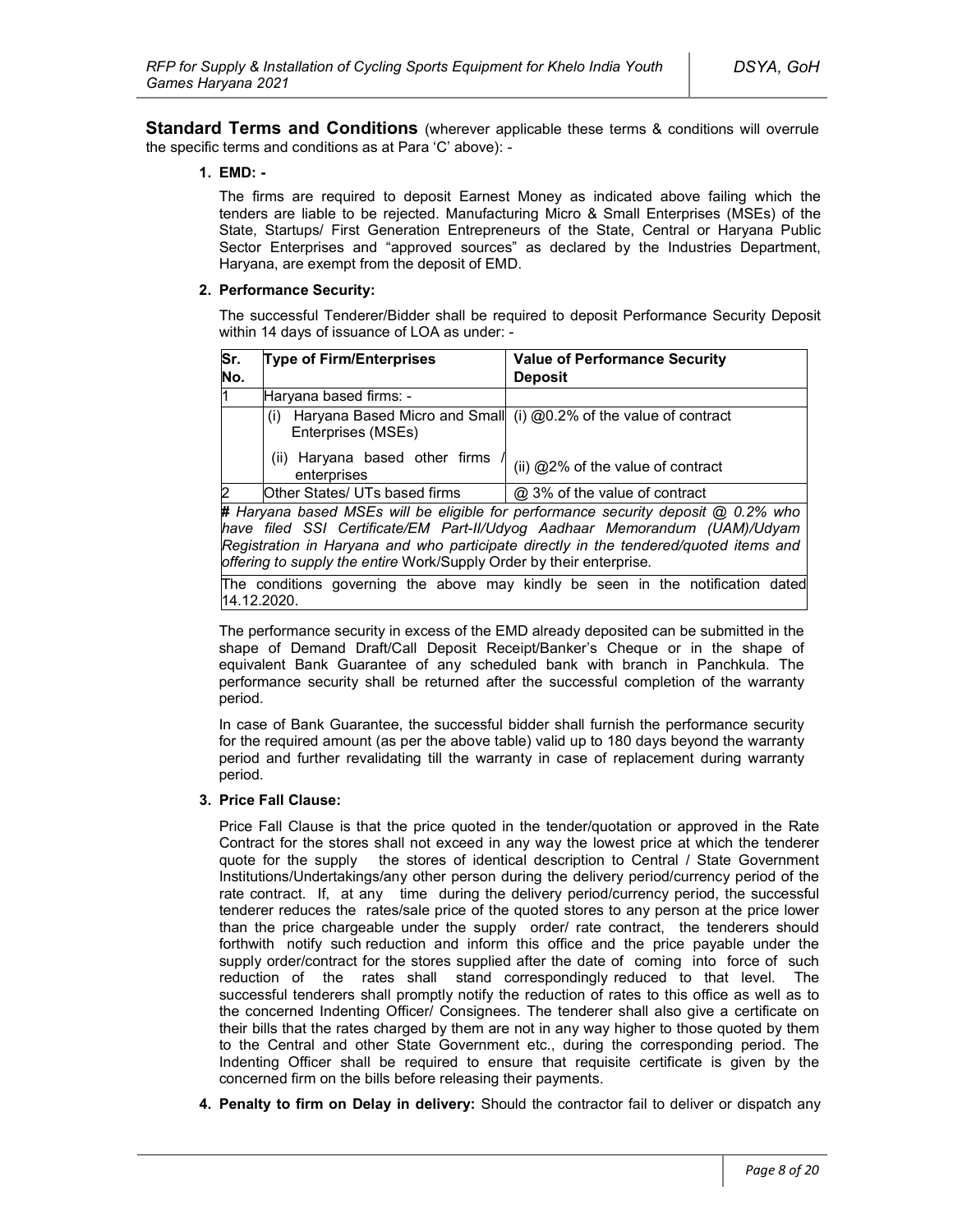**Standard Terms and Conditions** (wherever applicable these terms & conditions will overrule the specific terms and conditions as at Para 'C' above): -

#### **1. EMD: -**

The firms are required to deposit Earnest Money as indicated above failing which the tenders are liable to be rejected. Manufacturing Micro & Small Enterprises (MSEs) of the State, Startups/ First Generation Entrepreneurs of the State, Central or Haryana Public Sector Enterprises and "approved sources" as declared by the Industries Department, Haryana, are exempt from the deposit of EMD.

#### **2. Performance Security:**

The successful Tenderer/Bidder shall be required to deposit Performance Security Deposit within 14 days of issuance of LOA as under: -

| Sr. | <b>Type of Firm/Enterprises</b>                  | <b>Value of Performance Security</b>                                              |
|-----|--------------------------------------------------|-----------------------------------------------------------------------------------|
| No. |                                                  | <b>Deposit</b>                                                                    |
| l1  | Haryana based firms: -                           |                                                                                   |
|     | (i)<br>Enterprises (MSEs)                        | Haryana Based Micro and Small (i) @0.2% of the value of contract                  |
|     | Haryana based other firms<br>(ii)<br>enterprises | (ii) @2% of the value of contract                                                 |
| 2   | Other States/ UTs based firms                    | @ 3% of the value of contract                                                     |
|     |                                                  | # Haryana based MSEs will be eligible for performance security deposit @ 0.2% who |

*have filed SSI Certificate/EM Part-II/Udyog Aadhaar Memorandum (UAM)/Udyam Registration in Haryana and who participate directly in the tendered/quoted items and offering to supply the entire* Work/Supply Order by their enterprise*.*

The conditions governing the above may kindly be seen in the notification dated 14.12.2020.

The performance security in excess of the EMD already deposited can be submitted in the shape of Demand Draft/Call Deposit Receipt/Banker's Cheque or in the shape of equivalent Bank Guarantee of any scheduled bank with branch in Panchkula. The performance security shall be returned after the successful completion of the warranty period.

In case of Bank Guarantee, the successful bidder shall furnish the performance security for the required amount (as per the above table) valid up to 180 days beyond the warranty period and further revalidating till the warranty in case of replacement during warranty period.

#### **3. Price Fall Clause:**

Price Fall Clause is that the price quoted in the tender/quotation or approved in the Rate Contract for the stores shall not exceed in any way the lowest price at which the tenderer quote for the supply the stores of identical description to Central / State Government Institutions/Undertakings/any other person during the delivery period/currency period of the rate contract. If, at any time during the delivery period/currency period, the successful tenderer reduces the rates/sale price of the quoted stores to any person at the price lower than the price chargeable under the supply order/ rate contract, the tenderers should forthwith notify such reduction and inform this office and the price payable under the supply order/contract for the stores supplied after the date of coming into force of such reduction of the rates shall stand correspondingly reduced to that level. The successful tenderers shall promptly notify the reduction of rates to this office as well as to the concerned Indenting Officer/ Consignees. The tenderer shall also give a certificate on their bills that the rates charged by them are not in any way higher to those quoted by them to the Central and other State Government etc., during the corresponding period. The Indenting Officer shall be required to ensure that requisite certificate is given by the concerned firm on the bills before releasing their payments.

**4. Penalty to firm on Delay in delivery:** Should the contractor fail to deliver or dispatch any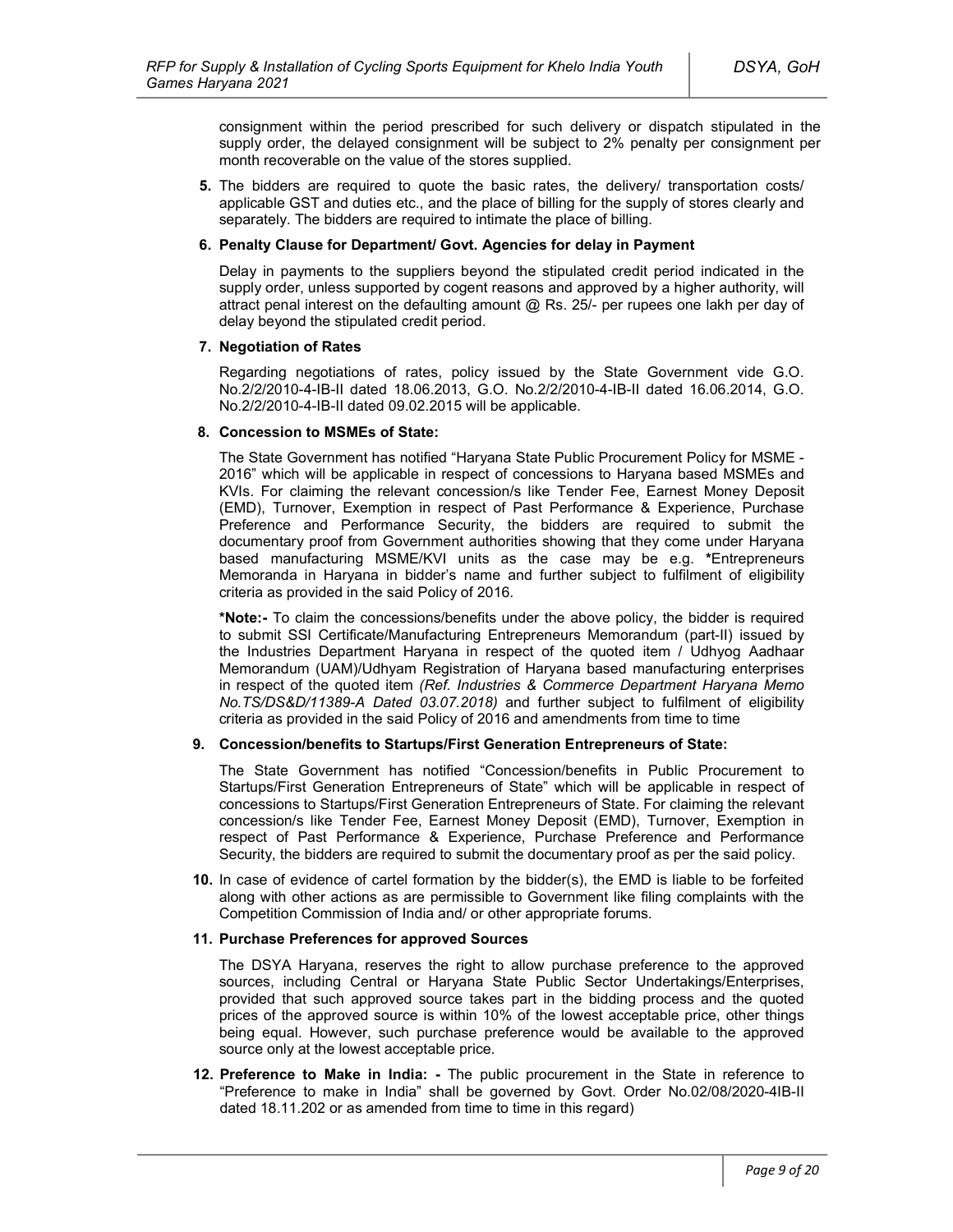consignment within the period prescribed for such delivery or dispatch stipulated in the supply order, the delayed consignment will be subject to 2% penalty per consignment per month recoverable on the value of the stores supplied.

**5.** The bidders are required to quote the basic rates, the delivery/ transportation costs/ applicable GST and duties etc., and the place of billing for the supply of stores clearly and separately. The bidders are required to intimate the place of billing.

### **6. Penalty Clause for Department/ Govt. Agencies for delay in Payment**

Delay in payments to the suppliers beyond the stipulated credit period indicated in the supply order, unless supported by cogent reasons and approved by a higher authority, will attract penal interest on the defaulting amount  $@$  Rs. 25/- per rupees one lakh per day of delay beyond the stipulated credit period.

### **7. Negotiation of Rates**

Regarding negotiations of rates, policy issued by the State Government vide G.O. No.2/2/2010-4-IB-II dated 18.06.2013, G.O. No.2/2/2010-4-IB-II dated 16.06.2014, G.O. No.2/2/2010-4-IB-II dated 09.02.2015 will be applicable.

### **8. Concession to MSMEs of State:**

The State Government has notified "Haryana State Public Procurement Policy for MSME - 2016" which will be applicable in respect of concessions to Haryana based MSMEs and KVIs. For claiming the relevant concession/s like Tender Fee, Earnest Money Deposit (EMD), Turnover, Exemption in respect of Past Performance & Experience, Purchase Preference and Performance Security, the bidders are required to submit the documentary proof from Government authorities showing that they come under Haryana based manufacturing MSME/KVI units as the case may be e.g. **\***Entrepreneurs Memoranda in Haryana in bidder's name and further subject to fulfilment of eligibility criteria as provided in the said Policy of 2016.

**\*Note:-** To claim the concessions/benefits under the above policy, the bidder is required to submit SSI Certificate/Manufacturing Entrepreneurs Memorandum (part-II) issued by the Industries Department Haryana in respect of the quoted item / Udhyog Aadhaar Memorandum (UAM)/Udhyam Registration of Haryana based manufacturing enterprises in respect of the quoted item *(Ref. Industries & Commerce Department Haryana Memo No.TS/DS&D/11389-A Dated 03.07.2018)* and further subject to fulfilment of eligibility criteria as provided in the said Policy of 2016 and amendments from time to time

### **9. Concession/benefits to Startups/First Generation Entrepreneurs of State:**

The State Government has notified "Concession/benefits in Public Procurement to Startups/First Generation Entrepreneurs of State" which will be applicable in respect of concessions to Startups/First Generation Entrepreneurs of State. For claiming the relevant concession/s like Tender Fee, Earnest Money Deposit (EMD), Turnover, Exemption in respect of Past Performance & Experience, Purchase Preference and Performance Security, the bidders are required to submit the documentary proof as per the said policy.

**10.** In case of evidence of cartel formation by the bidder(s), the EMD is liable to be forfeited along with other actions as are permissible to Government like filing complaints with the Competition Commission of India and/ or other appropriate forums.

#### **11. Purchase Preferences for approved Sources**

The DSYA Haryana, reserves the right to allow purchase preference to the approved sources, including Central or Haryana State Public Sector Undertakings/Enterprises, provided that such approved source takes part in the bidding process and the quoted prices of the approved source is within 10% of the lowest acceptable price, other things being equal. However, such purchase preference would be available to the approved source only at the lowest acceptable price.

**12. Preference to Make in India: -** The public procurement in the State in reference to "Preference to make in India" shall be governed by Govt. Order No.02/08/2020-4IB-II dated 18.11.202 or as amended from time to time in this regard)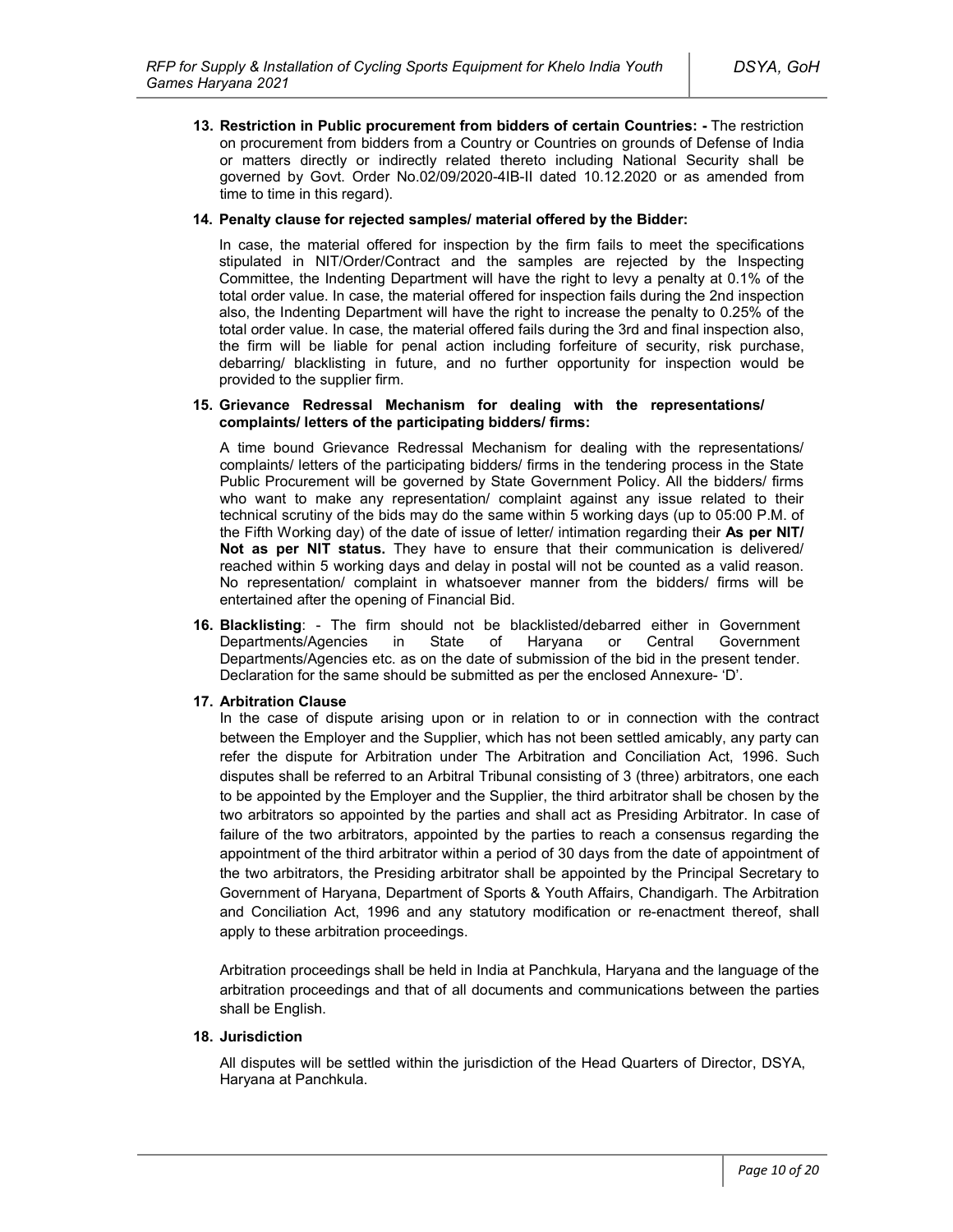**13. Restriction in Public procurement from bidders of certain Countries: -** The restriction on procurement from bidders from a Country or Countries on grounds of Defense of India or matters directly or indirectly related thereto including National Security shall be governed by Govt. Order No.02/09/2020-4IB-II dated 10.12.2020 or as amended from time to time in this regard).

### **14. Penalty clause for rejected samples/ material offered by the Bidder:**

In case, the material offered for inspection by the firm fails to meet the specifications stipulated in NIT/Order/Contract and the samples are rejected by the Inspecting Committee, the Indenting Department will have the right to levy a penalty at 0.1% of the total order value. In case, the material offered for inspection fails during the 2nd inspection also, the Indenting Department will have the right to increase the penalty to 0.25% of the total order value. In case, the material offered fails during the 3rd and final inspection also, the firm will be liable for penal action including forfeiture of security, risk purchase, debarring/ blacklisting in future, and no further opportunity for inspection would be provided to the supplier firm.

#### **15. Grievance Redressal Mechanism for dealing with the representations/ complaints/ letters of the participating bidders/ firms:**

A time bound Grievance Redressal Mechanism for dealing with the representations/ complaints/ letters of the participating bidders/ firms in the tendering process in the State Public Procurement will be governed by State Government Policy. All the bidders/ firms who want to make any representation/ complaint against any issue related to their technical scrutiny of the bids may do the same within 5 working days (up to 05:00 P.M. of the Fifth Working day) of the date of issue of letter/ intimation regarding their **As per NIT/ Not as per NIT status.** They have to ensure that their communication is delivered/ reached within 5 working days and delay in postal will not be counted as a valid reason. No representation/ complaint in whatsoever manner from the bidders/ firms will be entertained after the opening of Financial Bid.

**16. Blacklisting**: - The firm should not be blacklisted/debarred either in Government Departments/Agencies in State of Haryana or Central Government Departments/Agencies etc. as on the date of submission of the bid in the present tender. Declaration for the same should be submitted as per the enclosed Annexure- 'D'.

### **17. Arbitration Clause**

In the case of dispute arising upon or in relation to or in connection with the contract between the Employer and the Supplier, which has not been settled amicably, any party can refer the dispute for Arbitration under The Arbitration and Conciliation Act, 1996. Such disputes shall be referred to an Arbitral Tribunal consisting of 3 (three) arbitrators, one each to be appointed by the Employer and the Supplier, the third arbitrator shall be chosen by the two arbitrators so appointed by the parties and shall act as Presiding Arbitrator. In case of failure of the two arbitrators, appointed by the parties to reach a consensus regarding the appointment of the third arbitrator within a period of 30 days from the date of appointment of the two arbitrators, the Presiding arbitrator shall be appointed by the Principal Secretary to Government of Haryana, Department of Sports & Youth Affairs, Chandigarh. The Arbitration and Conciliation Act, 1996 and any statutory modification or re-enactment thereof, shall apply to these arbitration proceedings.

Arbitration proceedings shall be held in India at Panchkula, Haryana and the language of the arbitration proceedings and that of all documents and communications between the parties shall be English.

### **18. Jurisdiction**

All disputes will be settled within the jurisdiction of the Head Quarters of Director, DSYA, Haryana at Panchkula.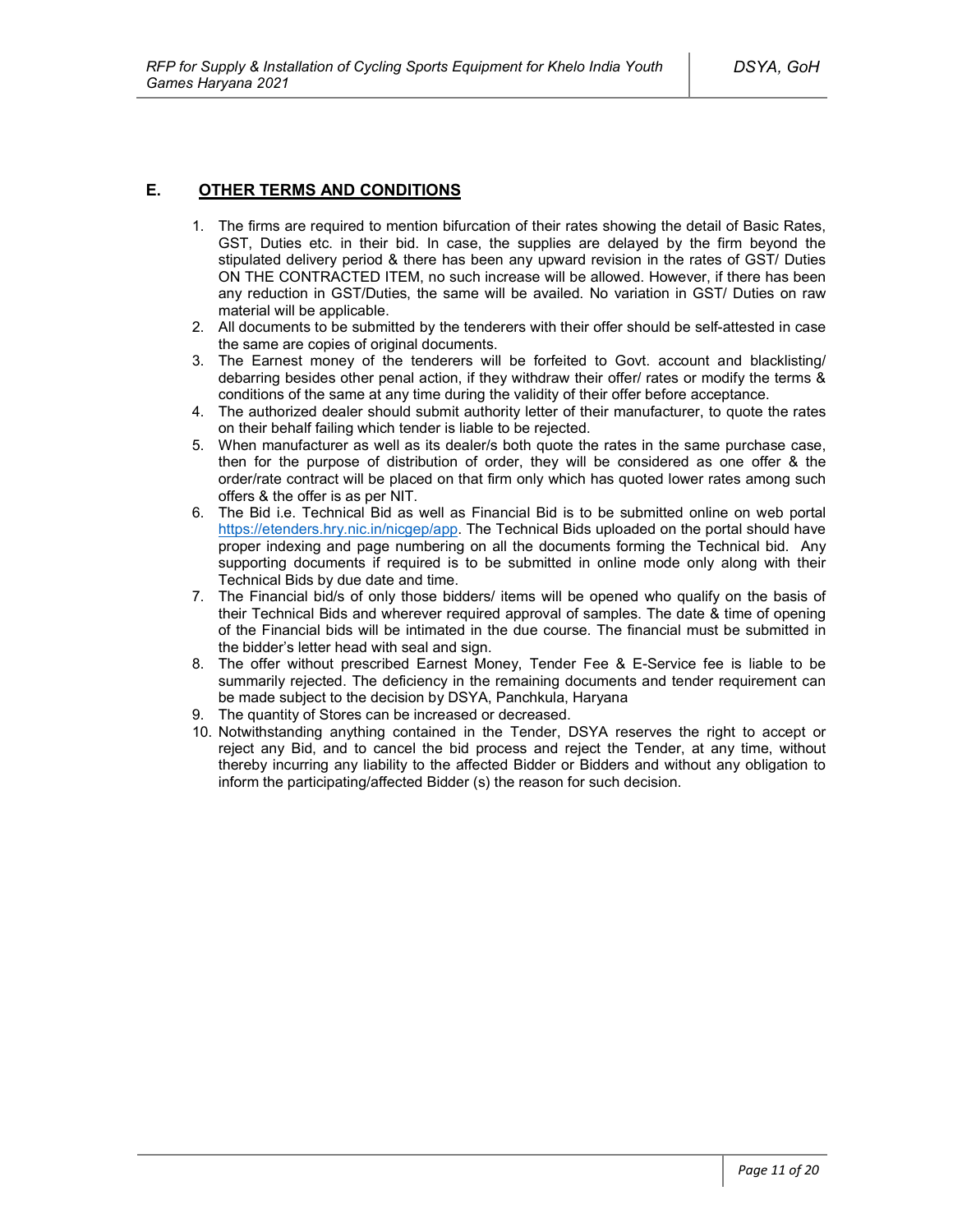# **E. OTHER TERMS AND CONDITIONS**

- 1. The firms are required to mention bifurcation of their rates showing the detail of Basic Rates, GST, Duties etc. in their bid. In case, the supplies are delayed by the firm beyond the stipulated delivery period & there has been any upward revision in the rates of GST/ Duties ON THE CONTRACTED ITEM, no such increase will be allowed. However, if there has been any reduction in GST/Duties, the same will be availed. No variation in GST/ Duties on raw material will be applicable.
- 2. All documents to be submitted by the tenderers with their offer should be self-attested in case the same are copies of original documents.
- 3. The Earnest money of the tenderers will be forfeited to Govt. account and blacklisting/ debarring besides other penal action, if they withdraw their offer/ rates or modify the terms & conditions of the same at any time during the validity of their offer before acceptance.
- 4. The authorized dealer should submit authority letter of their manufacturer, to quote the rates on their behalf failing which tender is liable to be rejected.
- 5. When manufacturer as well as its dealer/s both quote the rates in the same purchase case, then for the purpose of distribution of order, they will be considered as one offer & the order/rate contract will be placed on that firm only which has quoted lower rates among such offers & the offer is as per NIT.
- 6. The Bid i.e. Technical Bid as well as Financial Bid is to be submitted online on web portal https://etenders.hry.nic.in/nicgep/app. The Technical Bids uploaded on the portal should have proper indexing and page numbering on all the documents forming the Technical bid. Any supporting documents if required is to be submitted in online mode only along with their Technical Bids by due date and time.
- 7. The Financial bid/s of only those bidders/ items will be opened who qualify on the basis of their Technical Bids and wherever required approval of samples. The date & time of opening of the Financial bids will be intimated in the due course. The financial must be submitted in the bidder's letter head with seal and sign.
- 8. The offer without prescribed Earnest Money, Tender Fee & E-Service fee is liable to be summarily rejected. The deficiency in the remaining documents and tender requirement can be made subject to the decision by DSYA, Panchkula, Haryana
- 9. The quantity of Stores can be increased or decreased.
- 10. Notwithstanding anything contained in the Tender, DSYA reserves the right to accept or reject any Bid, and to cancel the bid process and reject the Tender, at any time, without thereby incurring any liability to the affected Bidder or Bidders and without any obligation to inform the participating/affected Bidder (s) the reason for such decision.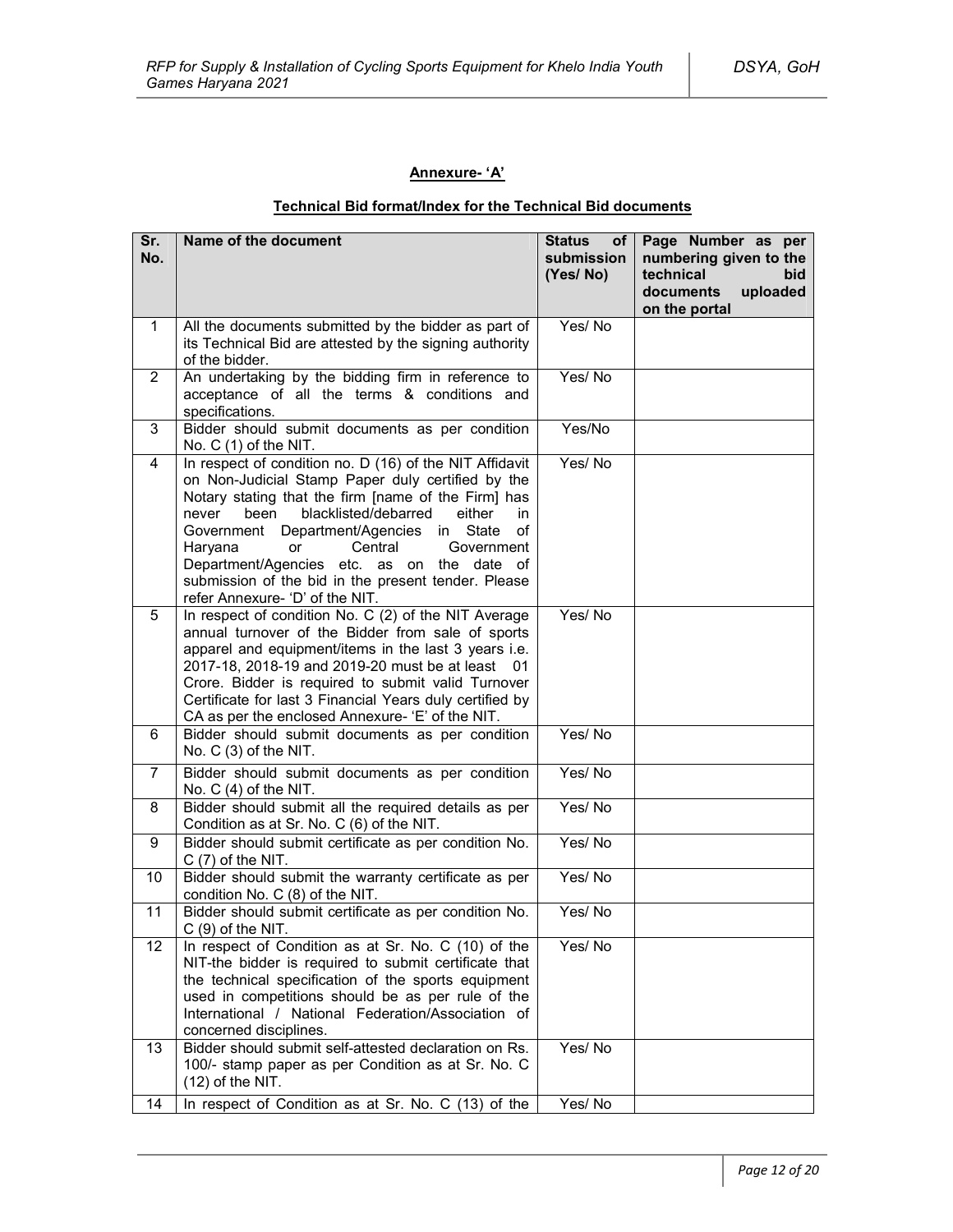# **Annexure- 'A'**

# **Technical Bid format/Index for the Technical Bid documents**

| Sr.<br>No.              | Name of the document                                                                                                                                                                                                                                                                                                                                                                                                                                                    | <b>Status</b><br>of <sub>1</sub><br>submission<br>(Yes/No) | Page Number as per<br>numbering given to the<br>technical<br><b>bid</b><br>documents<br>uploaded<br>on the portal |
|-------------------------|-------------------------------------------------------------------------------------------------------------------------------------------------------------------------------------------------------------------------------------------------------------------------------------------------------------------------------------------------------------------------------------------------------------------------------------------------------------------------|------------------------------------------------------------|-------------------------------------------------------------------------------------------------------------------|
| $\mathbf{1}$            | All the documents submitted by the bidder as part of<br>its Technical Bid are attested by the signing authority<br>of the bidder.                                                                                                                                                                                                                                                                                                                                       | Yes/No                                                     |                                                                                                                   |
| $\overline{2}$          | An undertaking by the bidding firm in reference to<br>acceptance of all the terms & conditions and<br>specifications.                                                                                                                                                                                                                                                                                                                                                   | Yes/No                                                     |                                                                                                                   |
| 3                       | Bidder should submit documents as per condition<br>No. $C(1)$ of the NIT.                                                                                                                                                                                                                                                                                                                                                                                               | Yes/No                                                     |                                                                                                                   |
| $\overline{\mathbf{4}}$ | In respect of condition no. D (16) of the NIT Affidavit<br>on Non-Judicial Stamp Paper duly certified by the<br>Notary stating that the firm [name of the Firm] has<br>blacklisted/debarred<br>either<br>never<br>been<br>in.<br>Government Department/Agencies in State<br>οf<br>Haryana<br>Central<br>Government<br><b>or</b><br>Department/Agencies etc. as on the date of<br>submission of the bid in the present tender. Please<br>refer Annexure- 'D' of the NIT. | Yes/No                                                     |                                                                                                                   |
| 5                       | In respect of condition No. C (2) of the NIT Average<br>annual turnover of the Bidder from sale of sports<br>apparel and equipment/items in the last 3 years i.e.<br>2017-18, 2018-19 and 2019-20 must be at least 01<br>Crore. Bidder is required to submit valid Turnover<br>Certificate for last 3 Financial Years duly certified by<br>CA as per the enclosed Annexure- 'E' of the NIT.                                                                             | Yes/No                                                     |                                                                                                                   |
| 6                       | Bidder should submit documents as per condition<br>No. C (3) of the NIT.                                                                                                                                                                                                                                                                                                                                                                                                | Yes/No                                                     |                                                                                                                   |
| $\overline{7}$          | Bidder should submit documents as per condition<br>No. $C(4)$ of the NIT.                                                                                                                                                                                                                                                                                                                                                                                               | Yes/No                                                     |                                                                                                                   |
| 8                       | Bidder should submit all the required details as per<br>Condition as at Sr. No. C (6) of the NIT.                                                                                                                                                                                                                                                                                                                                                                       | Yes/No                                                     |                                                                                                                   |
| 9                       | Bidder should submit certificate as per condition No.<br>$C(7)$ of the NIT.                                                                                                                                                                                                                                                                                                                                                                                             | Yes/No                                                     |                                                                                                                   |
| 10                      | Bidder should submit the warranty certificate as per<br>condition No. C (8) of the NIT.                                                                                                                                                                                                                                                                                                                                                                                 | Yes/No                                                     |                                                                                                                   |
| 11                      | Bidder should submit certificate as per condition No.<br>$C(9)$ of the NIT.                                                                                                                                                                                                                                                                                                                                                                                             | Yes/No                                                     |                                                                                                                   |
| 12                      | In respect of Condition as at Sr. No. C (10) of the<br>NIT-the bidder is required to submit certificate that<br>the technical specification of the sports equipment<br>used in competitions should be as per rule of the<br>International / National Federation/Association of<br>concerned disciplines.                                                                                                                                                                | Yes/No                                                     |                                                                                                                   |
| 13                      | Bidder should submit self-attested declaration on Rs.<br>100/- stamp paper as per Condition as at Sr. No. C<br>$(12)$ of the NIT.                                                                                                                                                                                                                                                                                                                                       | Yes/No                                                     |                                                                                                                   |
| 14                      | In respect of Condition as at Sr. No. C (13) of the                                                                                                                                                                                                                                                                                                                                                                                                                     | Yes/No                                                     |                                                                                                                   |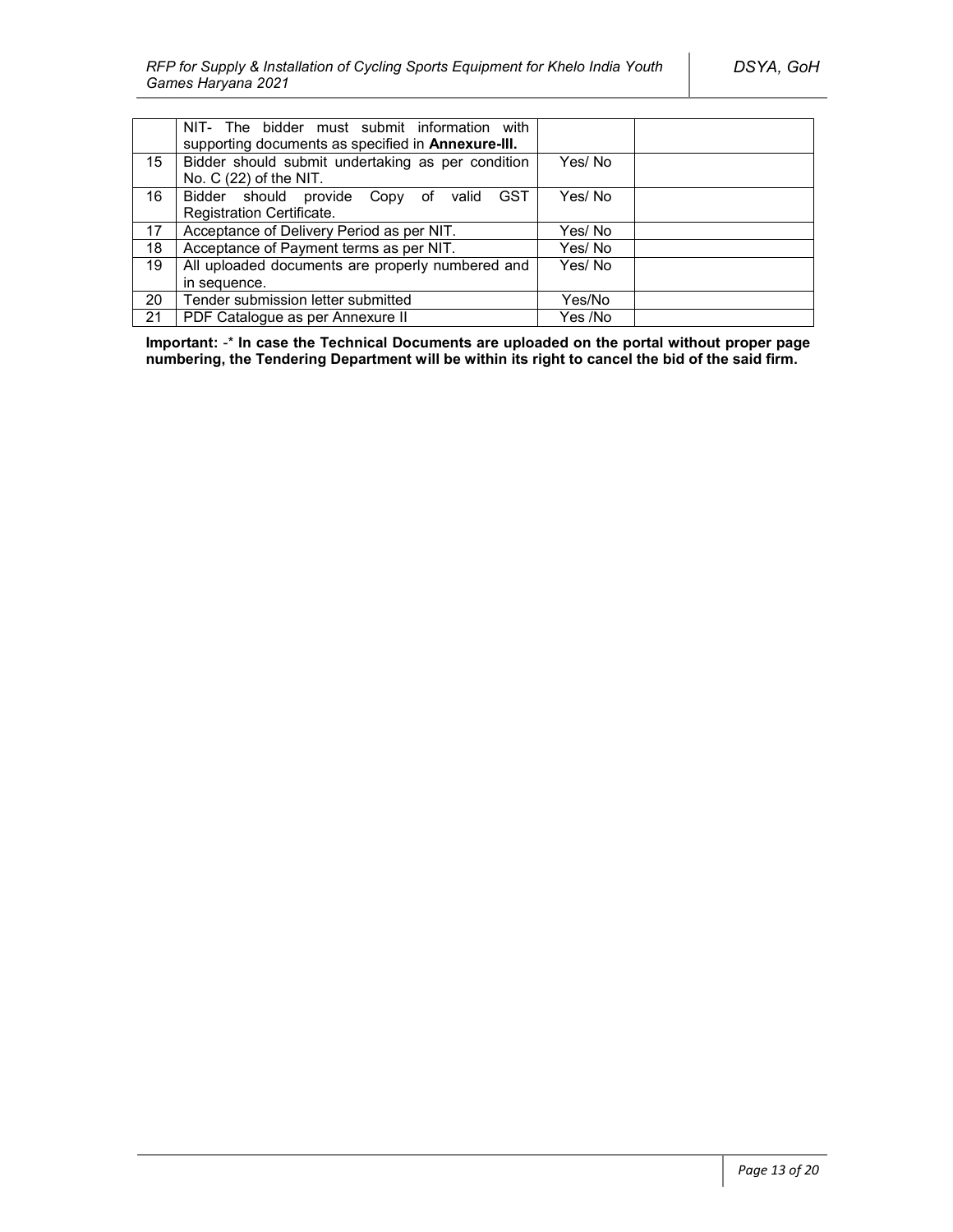|    | NIT- The bidder must submit information with<br>supporting documents as specified in Annexure-III. |         |  |
|----|----------------------------------------------------------------------------------------------------|---------|--|
| 15 | Bidder should submit undertaking as per condition<br>No. $C(22)$ of the NIT.                       | Yes/ No |  |
| 16 | Bidder should provide Copy of valid<br><b>GST</b>                                                  | Yes/No  |  |
|    | Registration Certificate.                                                                          |         |  |
| 17 | Acceptance of Delivery Period as per NIT.                                                          | Yes/ No |  |
| 18 | Acceptance of Payment terms as per NIT.                                                            | Yes/ No |  |
| 19 | All uploaded documents are properly numbered and                                                   | Yes/No  |  |
|    | in sequence.                                                                                       |         |  |
| 20 | Tender submission letter submitted                                                                 | Yes/No  |  |
| 21 | PDF Catalogue as per Annexure II                                                                   | Yes /No |  |

**Important:** -\* **In case the Technical Documents are uploaded on the portal without proper page numbering, the Tendering Department will be within its right to cancel the bid of the said firm.**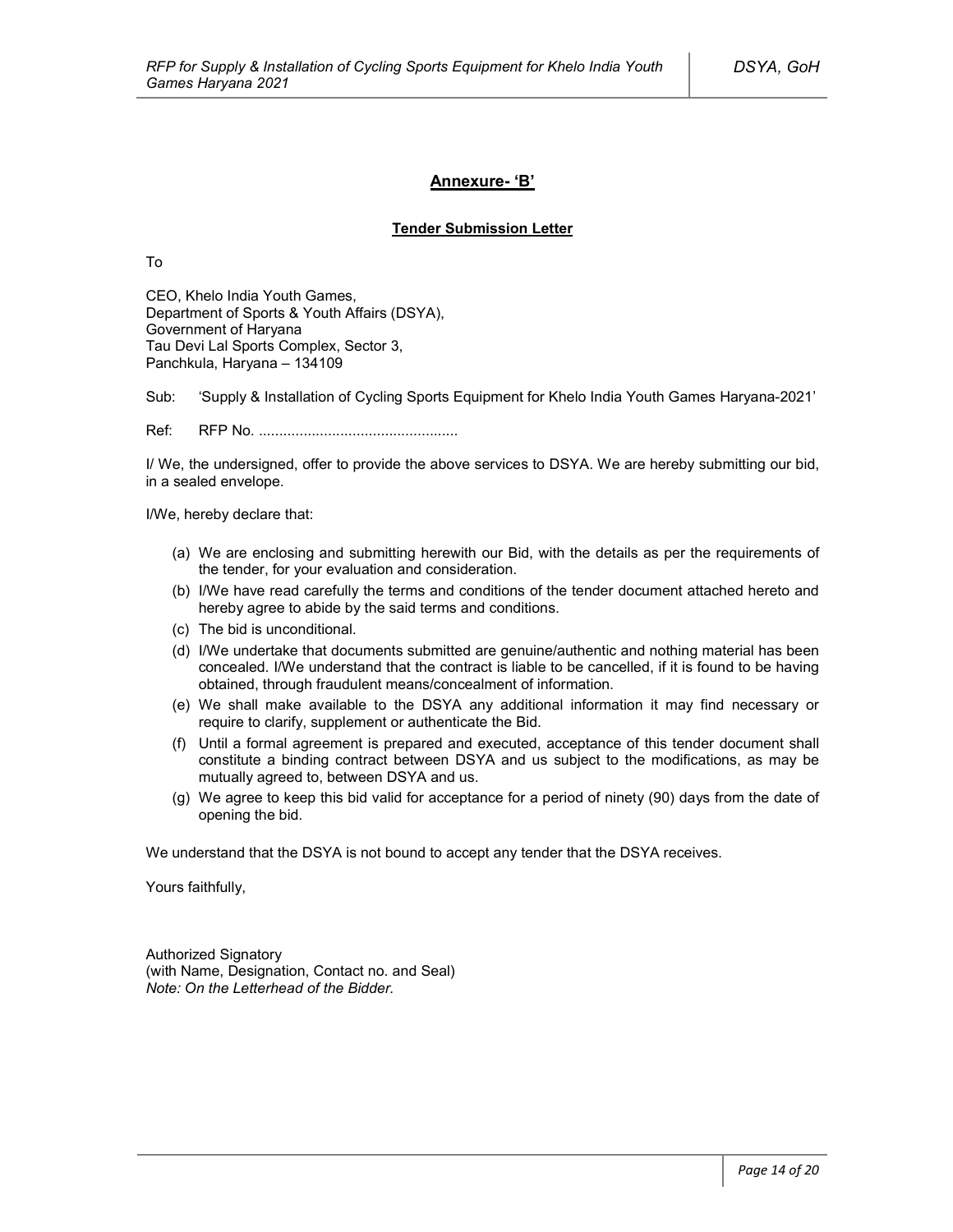### **Annexure- 'B'**

### **Tender Submission Letter**

To

CEO, Khelo India Youth Games, Department of Sports & Youth Affairs (DSYA), Government of Haryana Tau Devi Lal Sports Complex, Sector 3, Panchkula, Haryana – 134109

Sub: 'Supply & Installation of Cycling Sports Equipment for Khelo India Youth Games Haryana-2021'

Ref: RFP No. .................................................

I/ We, the undersigned, offer to provide the above services to DSYA. We are hereby submitting our bid, in a sealed envelope.

I/We, hereby declare that:

- (a) We are enclosing and submitting herewith our Bid, with the details as per the requirements of the tender, for your evaluation and consideration.
- (b) I/We have read carefully the terms and conditions of the tender document attached hereto and hereby agree to abide by the said terms and conditions.
- (c) The bid is unconditional.
- (d) I/We undertake that documents submitted are genuine/authentic and nothing material has been concealed. I/We understand that the contract is liable to be cancelled, if it is found to be having obtained, through fraudulent means/concealment of information.
- (e) We shall make available to the DSYA any additional information it may find necessary or require to clarify, supplement or authenticate the Bid.
- (f) Until a formal agreement is prepared and executed, acceptance of this tender document shall constitute a binding contract between DSYA and us subject to the modifications, as may be mutually agreed to, between DSYA and us.
- (g) We agree to keep this bid valid for acceptance for a period of ninety (90) days from the date of opening the bid.

We understand that the DSYA is not bound to accept any tender that the DSYA receives.

Yours faithfully,

Authorized Signatory (with Name, Designation, Contact no. and Seal) *Note: On the Letterhead of the Bidder.*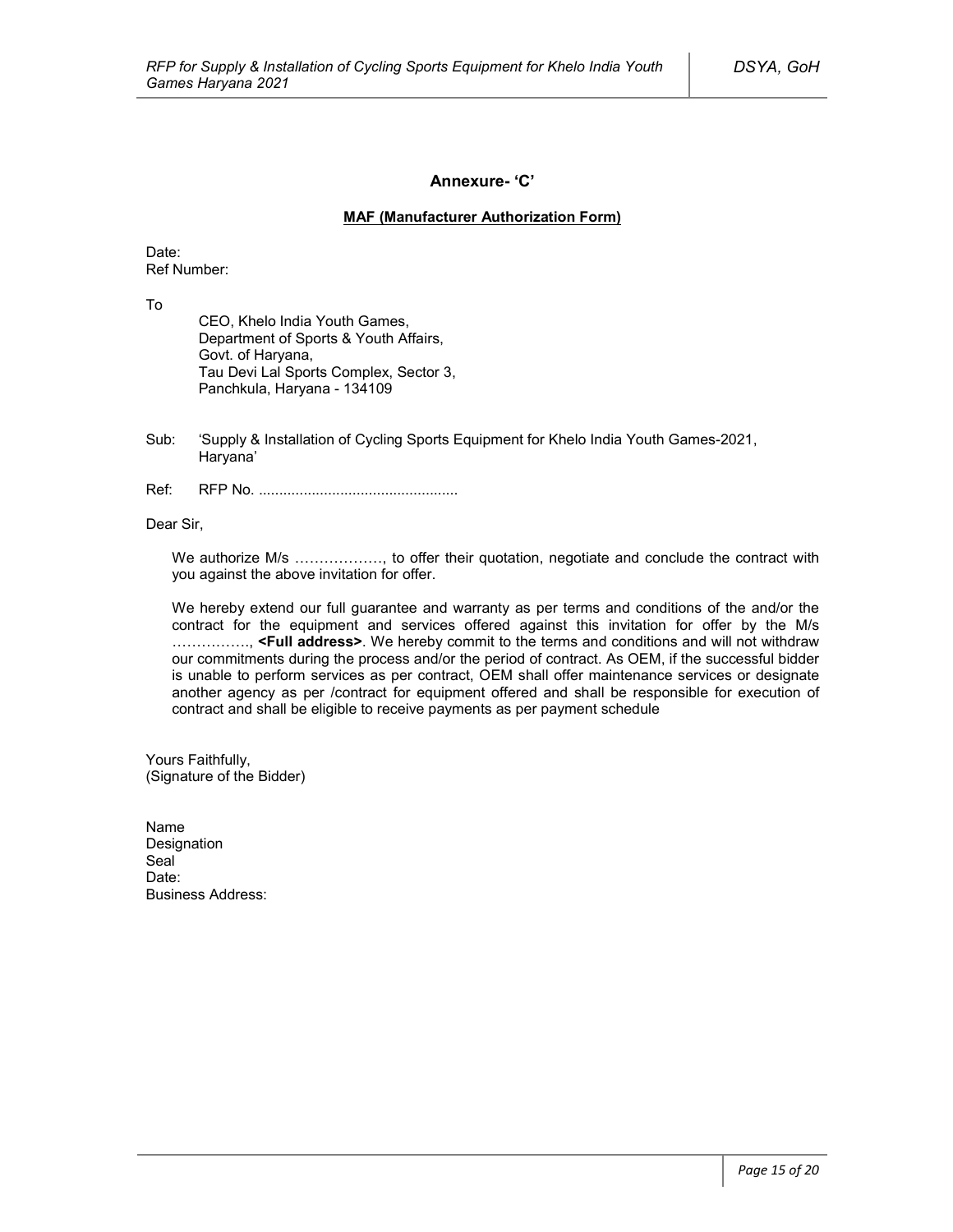### **Annexure- 'C'**

### **MAF (Manufacturer Authorization Form)**

Date: Ref Number:

To

CEO, Khelo India Youth Games, Department of Sports & Youth Affairs, Govt. of Haryana, Tau Devi Lal Sports Complex, Sector 3, Panchkula, Haryana - 134109

- Sub: 'Supply & Installation of Cycling Sports Equipment for Khelo India Youth Games-2021, Haryana'
- Ref: RFP No. .................................................

Dear Sir,

We authorize M/s ………………, to offer their quotation, negotiate and conclude the contract with you against the above invitation for offer.

We hereby extend our full guarantee and warranty as per terms and conditions of the and/or the contract for the equipment and services offered against this invitation for offer by the M/s ……………., **<Full address>**. We hereby commit to the terms and conditions and will not withdraw our commitments during the process and/or the period of contract. As OEM, if the successful bidder is unable to perform services as per contract, OEM shall offer maintenance services or designate another agency as per /contract for equipment offered and shall be responsible for execution of contract and shall be eligible to receive payments as per payment schedule

Yours Faithfully, (Signature of the Bidder)

Name Designation Seal<sup>1</sup> Date<sup>.</sup> Business Address: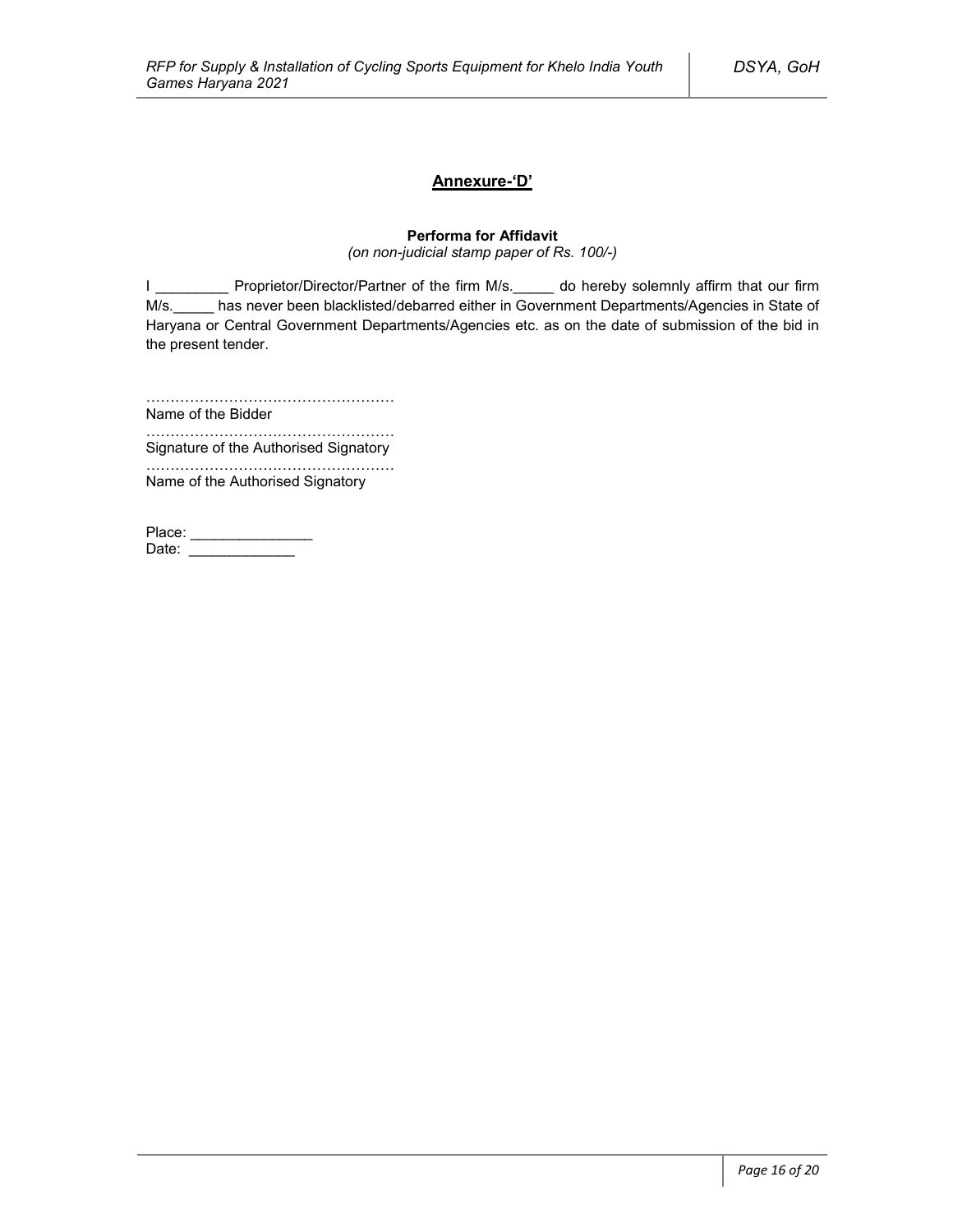# **Annexure-'D'**

# **Performa for Affidavit**

*(on non-judicial stamp paper of Rs. 100/-)*

I \_\_\_\_\_\_\_\_\_\_\_ Proprietor/Director/Partner of the firm M/s.\_\_\_\_\_ do hereby solemnly affirm that our firm M/s. has never been blacklisted/debarred either in Government Departments/Agencies in State of Haryana or Central Government Departments/Agencies etc. as on the date of submission of the bid in the present tender.

……………………………………………

Name of the Bidder ……………………………………………

Signature of the Authorised Signatory

…………………………………………… Name of the Authorised Signatory

| Place: |  |
|--------|--|
| Date:  |  |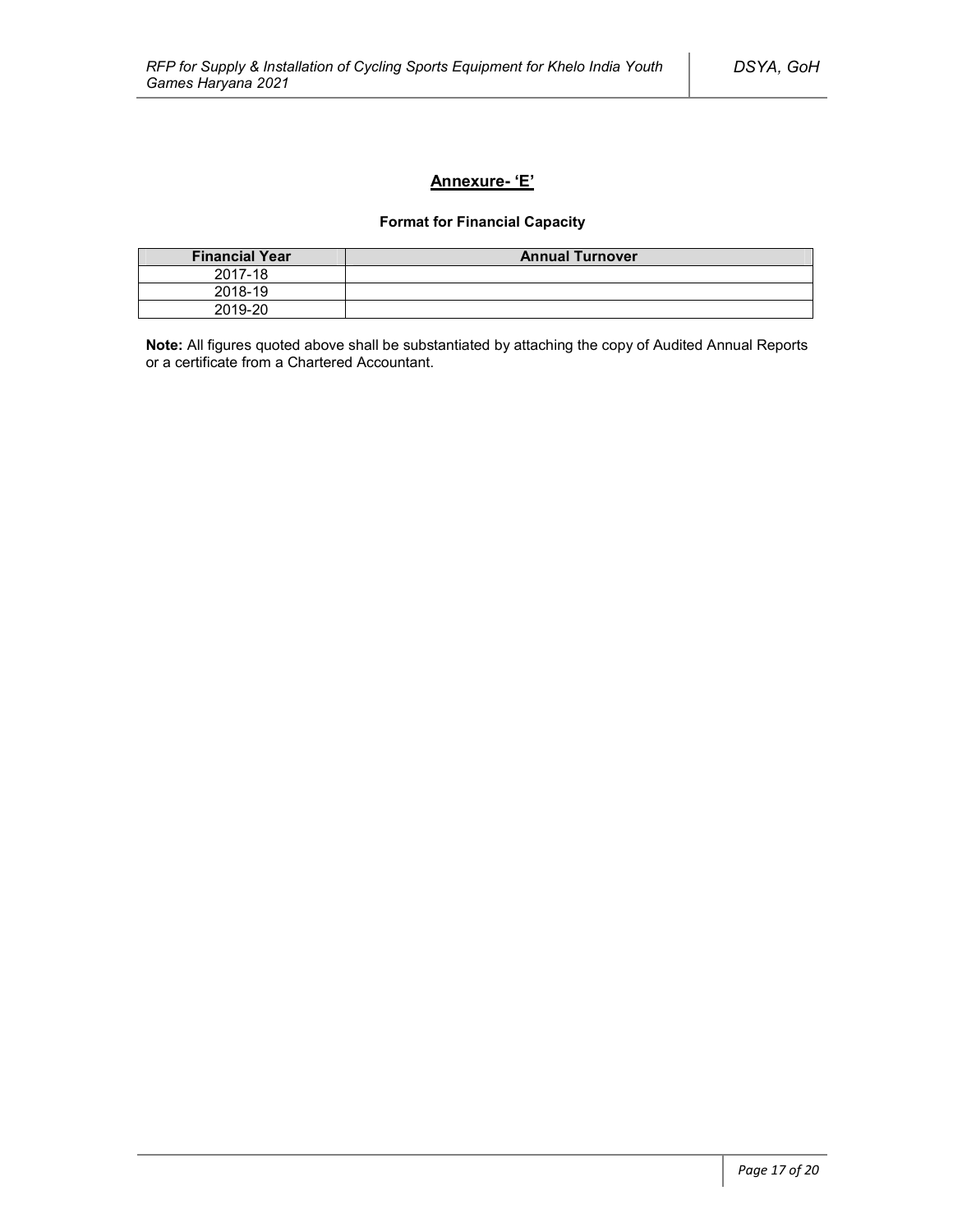# **Annexure- 'E'**

# **Format for Financial Capacity**

| <b>Financial Year</b> | <b>Annual Turnover</b> |
|-----------------------|------------------------|
| 2017-18               |                        |
| 2018-19               |                        |
| 2019-20               |                        |

**Note:** All figures quoted above shall be substantiated by attaching the copy of Audited Annual Reports or a certificate from a Chartered Accountant.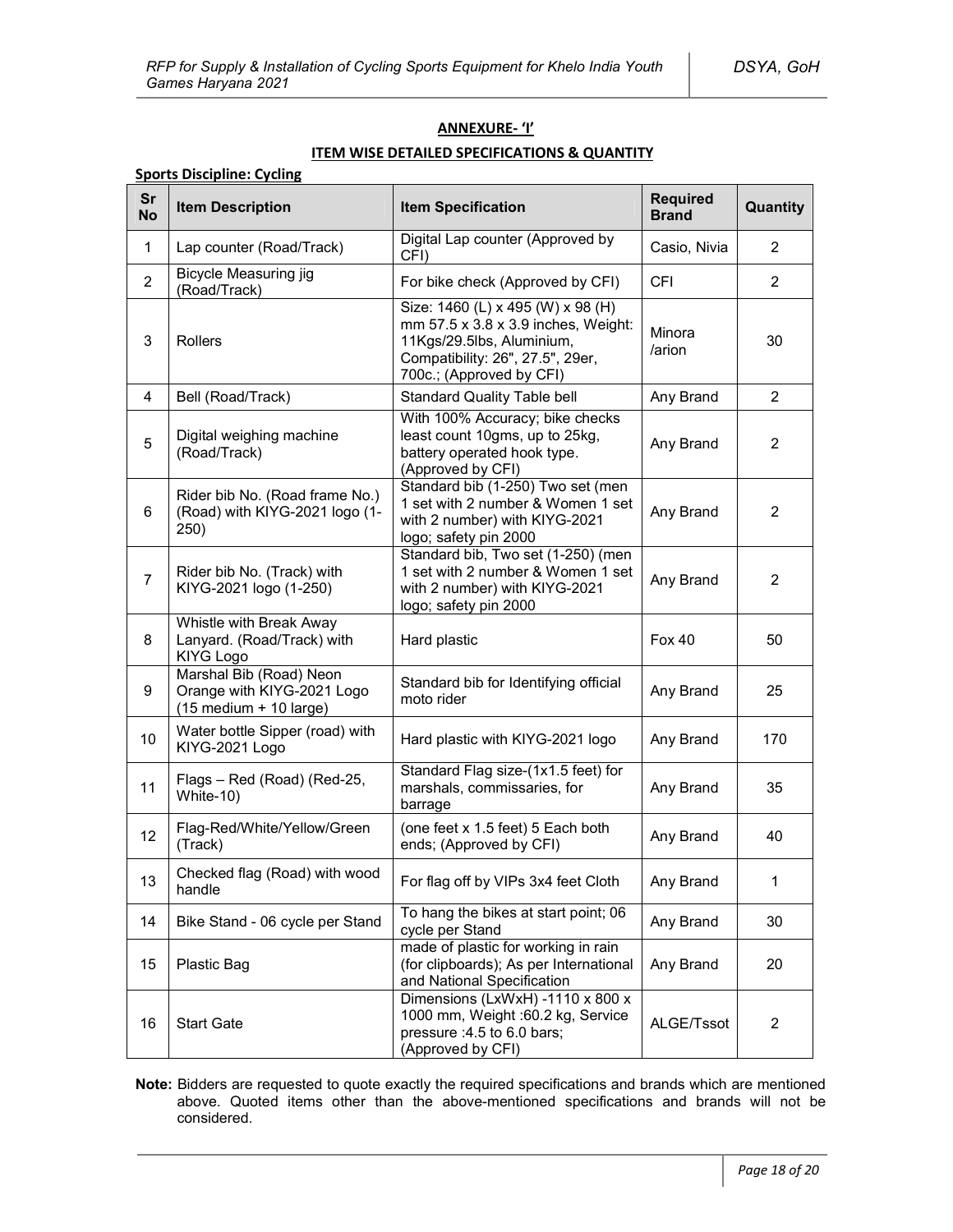### **ANNEXURE- 'I'**

# **ITEM WISE DETAILED SPECIFICATIONS & QUANTITY**

# **Sports Discipline: Cycling**

| Sr<br><b>No</b> | <b>Item Description</b>                                                                           | <b>Item Specification</b>                                                                                                                                             | <b>Required</b><br><b>Brand</b> | Quantity       |
|-----------------|---------------------------------------------------------------------------------------------------|-----------------------------------------------------------------------------------------------------------------------------------------------------------------------|---------------------------------|----------------|
| $\mathbf{1}$    | Lap counter (Road/Track)                                                                          | Digital Lap counter (Approved by<br>CFI)                                                                                                                              | Casio, Nivia                    | 2              |
| $\overline{2}$  | Bicycle Measuring jig<br>(Road/Track)                                                             | For bike check (Approved by CFI)                                                                                                                                      | <b>CFI</b>                      | 2              |
| 3               | Rollers                                                                                           | Size: 1460 (L) x 495 (W) x 98 (H)<br>mm 57.5 x 3.8 x 3.9 inches, Weight:<br>11Kgs/29.5lbs, Aluminium,<br>Compatibility: 26", 27.5", 29er,<br>700c.; (Approved by CFI) | Minora<br>/arion                | 30             |
| 4               | Bell (Road/Track)                                                                                 | <b>Standard Quality Table bell</b>                                                                                                                                    | Any Brand                       | 2              |
| 5               | Digital weighing machine<br>(Road/Track)                                                          | With 100% Accuracy; bike checks<br>least count 10gms, up to 25kg,<br>battery operated hook type.<br>(Approved by CFI)                                                 | Any Brand                       | 2              |
| 6               | Rider bib No. (Road frame No.)<br>(Road) with KIYG-2021 logo (1-<br>250)                          | Standard bib (1-250) Two set (men<br>1 set with 2 number & Women 1 set<br>with 2 number) with KIYG-2021<br>logo; safety pin 2000                                      | Any Brand                       | $\overline{2}$ |
| $\overline{7}$  | Rider bib No. (Track) with<br>KIYG-2021 logo (1-250)                                              | Standard bib, Two set (1-250) (men<br>1 set with 2 number & Women 1 set<br>with 2 number) with KIYG-2021<br>logo; safety pin 2000                                     | Any Brand                       | 2              |
| 8               | Whistle with Break Away<br>Lanyard. (Road/Track) with<br><b>KIYG Logo</b>                         | Hard plastic                                                                                                                                                          | <b>Fox 40</b>                   | 50             |
| 9               | Marshal Bib (Road) Neon<br>Orange with KIYG-2021 Logo<br>$(15 \text{ medium} + 10 \text{ large})$ | Standard bib for Identifying official<br>moto rider                                                                                                                   | Any Brand                       | 25             |
| 10              | Water bottle Sipper (road) with<br>KIYG-2021 Logo                                                 | Hard plastic with KIYG-2021 logo                                                                                                                                      | Any Brand                       | 170            |
| 11              | Flags - Red (Road) (Red-25,<br>White-10)                                                          | Standard Flag size-(1x1.5 feet) for<br>marshals, commissaries, for<br>barrage                                                                                         | Any Brand                       | 35             |
| 12              | Flag-Red/White/Yellow/Green<br>(Track)                                                            | (one feet x 1.5 feet) 5 Each both<br>ends; (Approved by CFI)                                                                                                          | Any Brand                       | 40             |
| 13              | Checked flag (Road) with wood<br>handle                                                           | For flag off by VIPs 3x4 feet Cloth                                                                                                                                   | Any Brand                       | 1              |
| 14              | Bike Stand - 06 cycle per Stand                                                                   | To hang the bikes at start point; 06<br>cycle per Stand                                                                                                               | Any Brand                       | 30             |
| 15              | Plastic Bag                                                                                       | made of plastic for working in rain<br>(for clipboards); As per International<br>and National Specification                                                           | Any Brand                       | 20             |
| 16              | <b>Start Gate</b>                                                                                 | Dimensions (LxWxH) -1110 x 800 x<br>1000 mm, Weight :60.2 kg, Service<br>pressure : 4.5 to 6.0 bars;<br>(Approved by CFI)                                             | ALGE/Tssot                      | 2              |

**Note:** Bidders are requested to quote exactly the required specifications and brands which are mentioned above. Quoted items other than the above-mentioned specifications and brands will not be considered.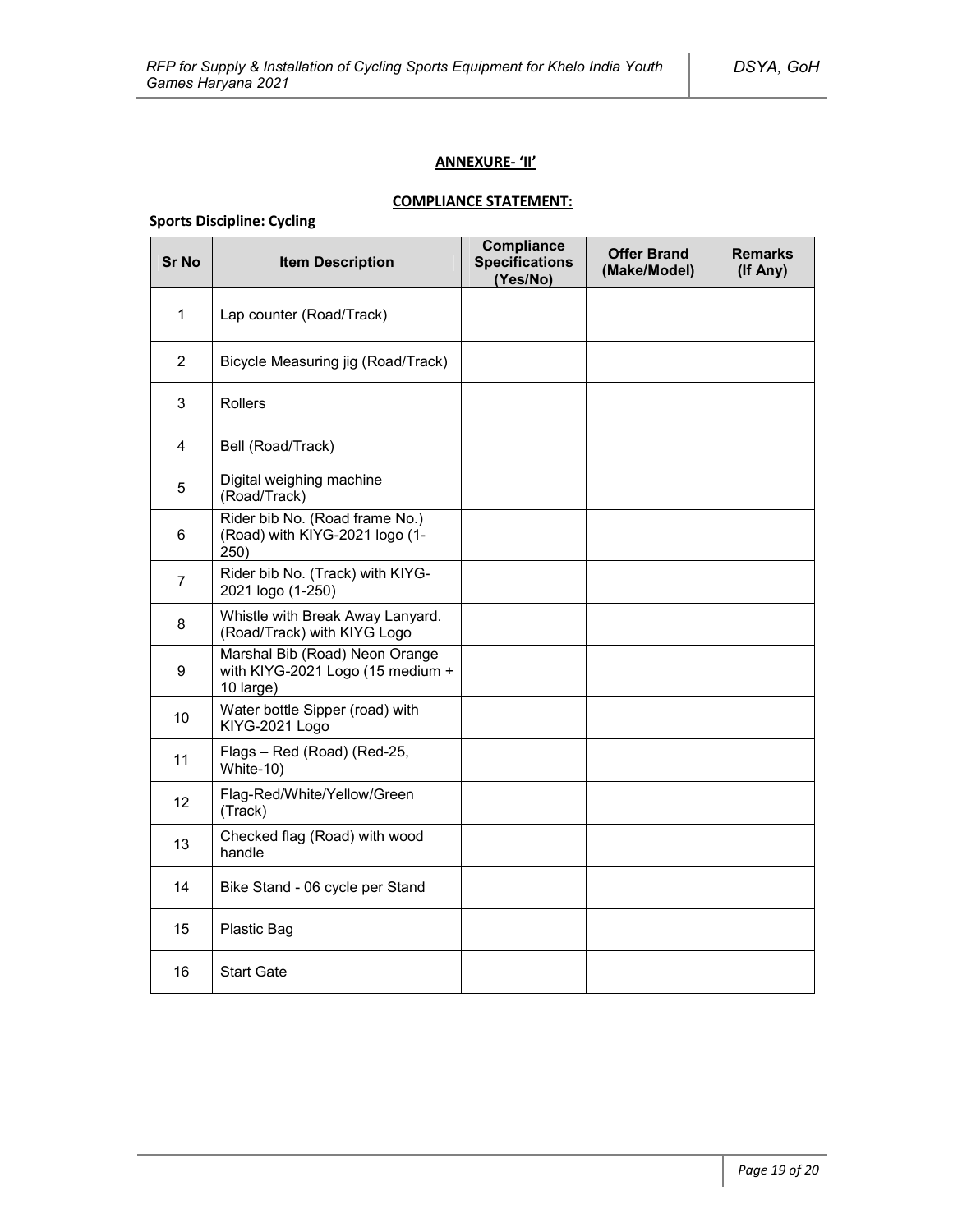### **ANNEXURE- 'II'**

# **COMPLIANCE STATEMENT:**

# **Sports Discipline: Cycling**

| <b>Sr No</b>    | <b>Item Description</b>                                                         | <b>Compliance</b><br><b>Specifications</b><br>(Yes/No) | <b>Offer Brand</b><br>(Make/Model) | <b>Remarks</b><br>(If Any) |
|-----------------|---------------------------------------------------------------------------------|--------------------------------------------------------|------------------------------------|----------------------------|
| $\mathbf{1}$    | Lap counter (Road/Track)                                                        |                                                        |                                    |                            |
| $\overline{2}$  | Bicycle Measuring jig (Road/Track)                                              |                                                        |                                    |                            |
| 3               | <b>Rollers</b>                                                                  |                                                        |                                    |                            |
| 4               | Bell (Road/Track)                                                               |                                                        |                                    |                            |
| 5               | Digital weighing machine<br>(Road/Track)                                        |                                                        |                                    |                            |
| 6               | Rider bib No. (Road frame No.)<br>(Road) with KIYG-2021 logo (1-<br>250)        |                                                        |                                    |                            |
| $\overline{7}$  | Rider bib No. (Track) with KIYG-<br>2021 logo (1-250)                           |                                                        |                                    |                            |
| 8               | Whistle with Break Away Lanyard.<br>(Road/Track) with KIYG Logo                 |                                                        |                                    |                            |
| 9               | Marshal Bib (Road) Neon Orange<br>with KIYG-2021 Logo (15 medium +<br>10 large) |                                                        |                                    |                            |
| 10              | Water bottle Sipper (road) with<br>KIYG-2021 Logo                               |                                                        |                                    |                            |
| 11              | Flags - Red (Road) (Red-25,<br>White-10)                                        |                                                        |                                    |                            |
| 12 <sup>2</sup> | Flag-Red/White/Yellow/Green<br>(Track)                                          |                                                        |                                    |                            |
| 13              | Checked flag (Road) with wood<br>handle                                         |                                                        |                                    |                            |
| 14              | Bike Stand - 06 cycle per Stand                                                 |                                                        |                                    |                            |
| 15              | Plastic Bag                                                                     |                                                        |                                    |                            |
| 16              | <b>Start Gate</b>                                                               |                                                        |                                    |                            |